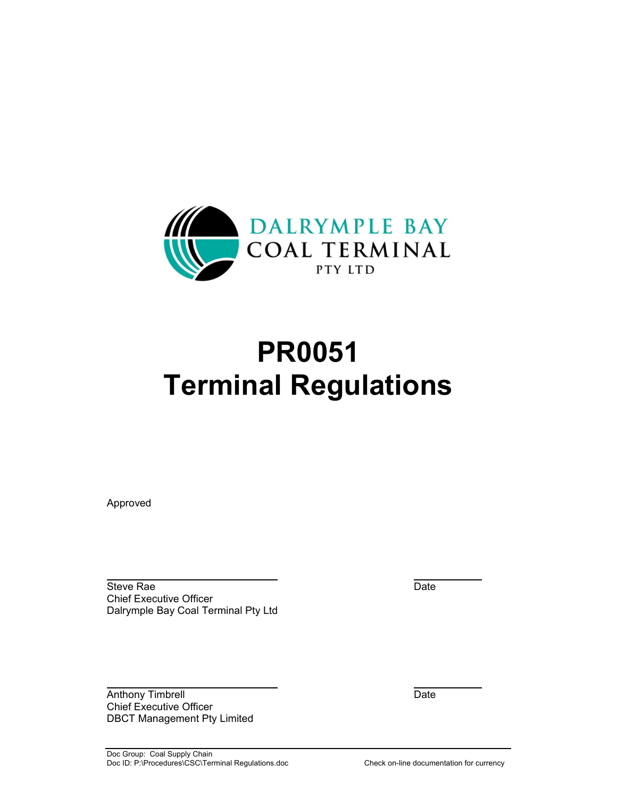

# **PR0051 Terminal Regulations**

Approved

 Steve Rae Date Chief Executive Officer Dalrymple Bay Coal Terminal Pty Ltd

Anthony Timbrell **Date** Chief Executive Officer DBCT Management Pty Limited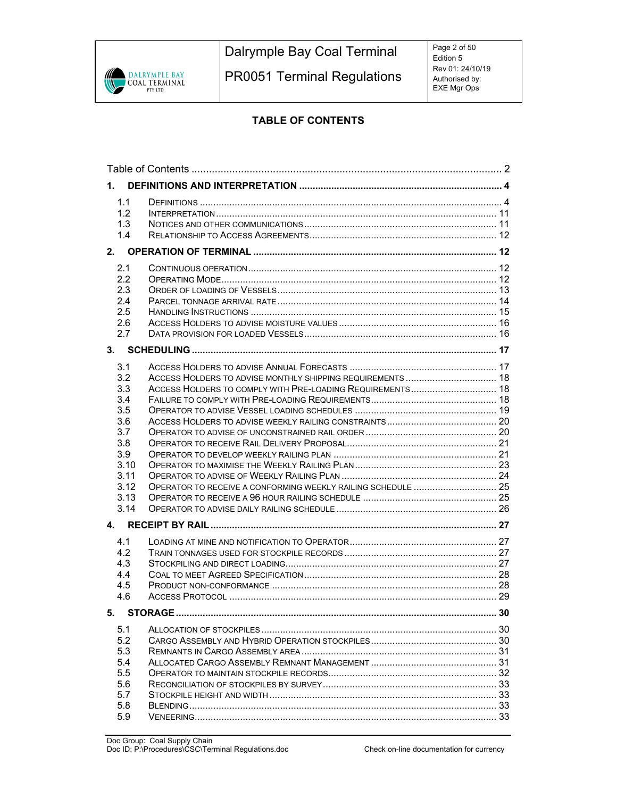

Dalrymple Bay Coal Terminal

PR0051 Terminal Regulations

# **TABLE OF CONTENTS**

| 1.                                                                                                                                                  |                                                            |    |  |
|-----------------------------------------------------------------------------------------------------------------------------------------------------|------------------------------------------------------------|----|--|
| 1.1<br>1.2<br>1.3<br>1.4                                                                                                                            |                                                            |    |  |
| 2.                                                                                                                                                  |                                                            |    |  |
| 2.1<br>2.2<br>2.3<br>2.4<br>2.5<br>2.6<br>2.7                                                                                                       |                                                            |    |  |
|                                                                                                                                                     |                                                            |    |  |
| 3.1<br>3.2<br>3.3<br>3.4<br>3.5<br>3.6<br>3.7<br>3.8<br>3.9<br>3.10<br>3.11<br>3.12<br>3.13<br>3.14<br>4.<br>4.1<br>4.2<br>4.3<br>4.4<br>4.5<br>4.6 | ACCESS HOLDERS TO ADVISE MONTHLY SHIPPING REQUIREMENTS  18 |    |  |
| 5. STORAGE                                                                                                                                          |                                                            | 30 |  |
| 5.1<br>5.2<br>5.3<br>5.4<br>5.5<br>5.6<br>5.7<br>5.8<br>5.9                                                                                         |                                                            |    |  |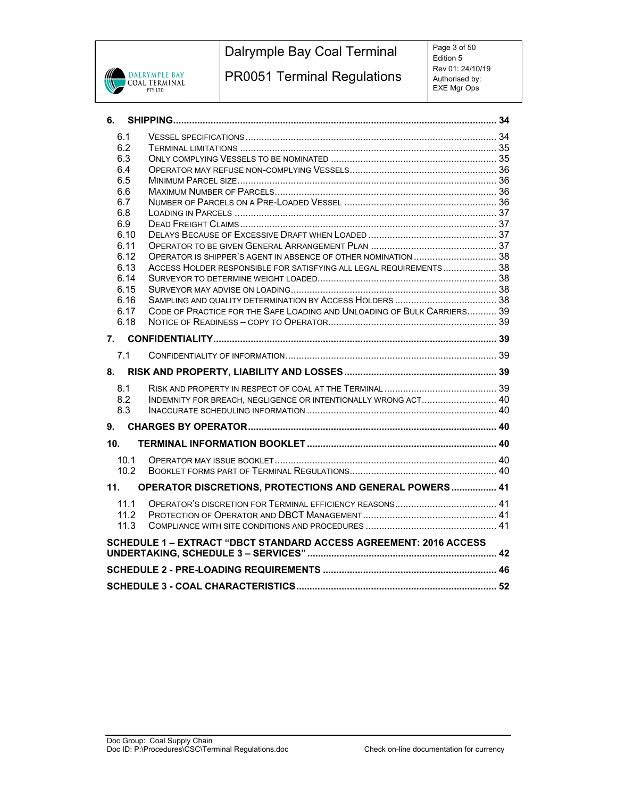

# Dalrymple Bay Coal Terminal

PR0051 Terminal Regulations

Page 3 of 50 Edition 5 Rev 01: 24/10/19 Authorised by: EXE Mgr Ops

| 6.           |                                                                          |  |
|--------------|--------------------------------------------------------------------------|--|
| 6.1          |                                                                          |  |
| 6.2          |                                                                          |  |
| 6.3          |                                                                          |  |
| 6.4          |                                                                          |  |
| 6.5          |                                                                          |  |
| 6.6          |                                                                          |  |
| 6.7          |                                                                          |  |
| 6.8          |                                                                          |  |
| 6.9          |                                                                          |  |
| 6.10<br>6.11 |                                                                          |  |
| 6.12         |                                                                          |  |
| 6.13         | ACCESS HOLDER RESPONSIBLE FOR SATISFYING ALL LEGAL REQUIREMENTS 38       |  |
| 6.14         |                                                                          |  |
| 6.15         |                                                                          |  |
| 6.16         |                                                                          |  |
| 6.17         | CODE OF PRACTICE FOR THE SAFE LOADING AND UNLOADING OF BULK CARRIERS 39  |  |
| 6.18         |                                                                          |  |
|              |                                                                          |  |
| 7.1          |                                                                          |  |
|              |                                                                          |  |
|              |                                                                          |  |
| 8.1          |                                                                          |  |
| 8.2          | INDEMNITY FOR BREACH, NEGLIGENCE OR INTENTIONALLY WRONG ACT 40           |  |
| 8.3          |                                                                          |  |
| 9.           |                                                                          |  |
| 10.          |                                                                          |  |
| 10.1         |                                                                          |  |
| 10.2         |                                                                          |  |
| 11.          | OPERATOR DISCRETIONS, PROTECTIONS AND GENERAL POWERS 41                  |  |
|              |                                                                          |  |
| 11.1         |                                                                          |  |
| 11.2         |                                                                          |  |
| 11.3         |                                                                          |  |
|              | <b>SCHEDULE 1 - EXTRACT "DBCT STANDARD ACCESS AGREEMENT: 2016 ACCESS</b> |  |
|              |                                                                          |  |
|              |                                                                          |  |
|              |                                                                          |  |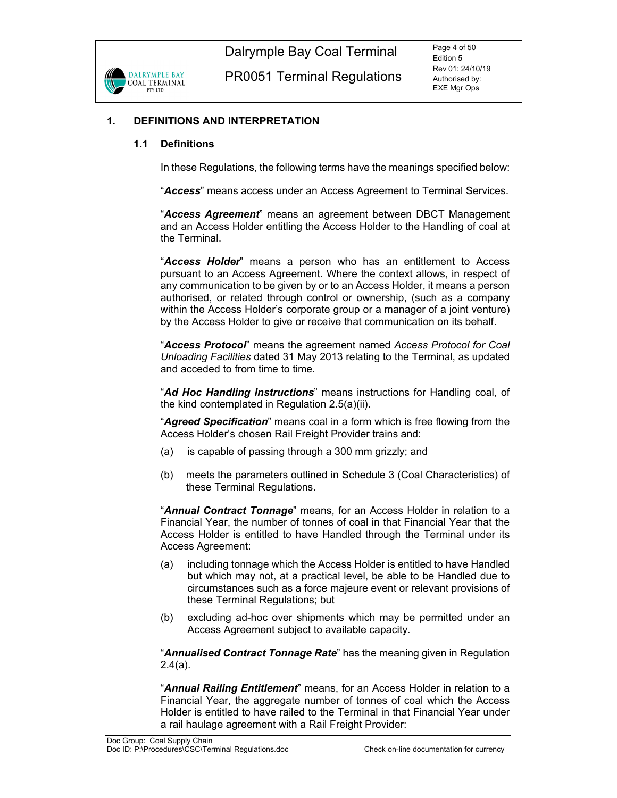

#### **1. DEFINITIONS AND INTERPRETATION**

#### **1.1 Definitions**

In these Regulations, the following terms have the meanings specified below:

"*Access*" means access under an Access Agreement to Terminal Services.

"*Access Agreement*" means an agreement between DBCT Management and an Access Holder entitling the Access Holder to the Handling of coal at the Terminal.

"*Access Holder*" means a person who has an entitlement to Access pursuant to an Access Agreement. Where the context allows, in respect of any communication to be given by or to an Access Holder, it means a person authorised, or related through control or ownership, (such as a company within the Access Holder's corporate group or a manager of a joint venture) by the Access Holder to give or receive that communication on its behalf.

"*Access Protocol*" means the agreement named *Access Protocol for Coal Unloading Facilities* dated 31 May 2013 relating to the Terminal, as updated and acceded to from time to time.

"*Ad Hoc Handling Instructions*" means instructions for Handling coal, of the kind contemplated in Regulation 2.5(a)(ii).

"*Agreed Specification*" means coal in a form which is free flowing from the Access Holder's chosen Rail Freight Provider trains and:

- (a) is capable of passing through a 300 mm grizzly; and
- (b) meets the parameters outlined in Schedule 3 (Coal Characteristics) of these Terminal Regulations.

"*Annual Contract Tonnage*" means, for an Access Holder in relation to a Financial Year, the number of tonnes of coal in that Financial Year that the Access Holder is entitled to have Handled through the Terminal under its Access Agreement:

- (a) including tonnage which the Access Holder is entitled to have Handled but which may not, at a practical level, be able to be Handled due to circumstances such as a force majeure event or relevant provisions of these Terminal Regulations; but
- (b) excluding ad-hoc over shipments which may be permitted under an Access Agreement subject to available capacity.

"*Annualised Contract Tonnage Rate*" has the meaning given in Regulation 2.4(a).

"*Annual Railing Entitlement*" means, for an Access Holder in relation to a Financial Year, the aggregate number of tonnes of coal which the Access Holder is entitled to have railed to the Terminal in that Financial Year under a rail haulage agreement with a Rail Freight Provider: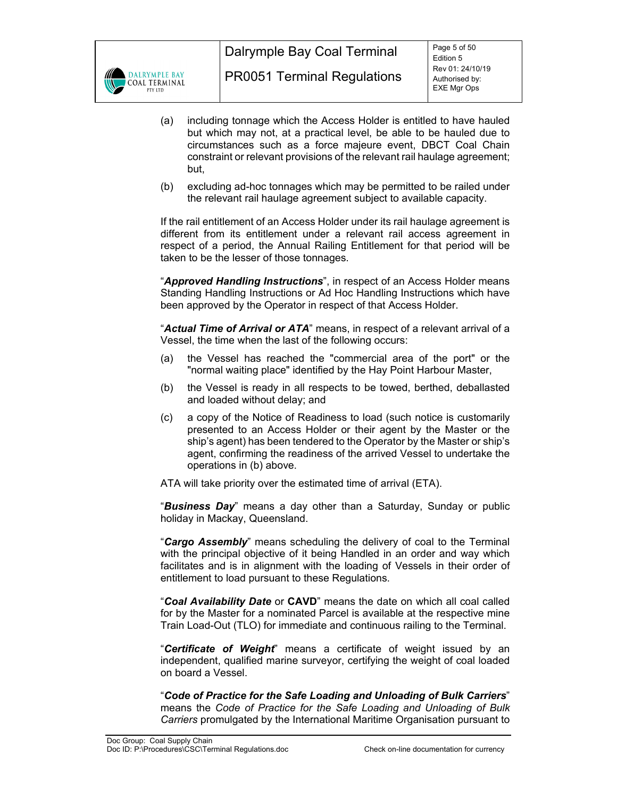

- (a) including tonnage which the Access Holder is entitled to have hauled but which may not, at a practical level, be able to be hauled due to circumstances such as a force majeure event, DBCT Coal Chain constraint or relevant provisions of the relevant rail haulage agreement; but,
- (b) excluding ad-hoc tonnages which may be permitted to be railed under the relevant rail haulage agreement subject to available capacity.

If the rail entitlement of an Access Holder under its rail haulage agreement is different from its entitlement under a relevant rail access agreement in respect of a period, the Annual Railing Entitlement for that period will be taken to be the lesser of those tonnages.

"*Approved Handling Instructions*", in respect of an Access Holder means Standing Handling Instructions or Ad Hoc Handling Instructions which have been approved by the Operator in respect of that Access Holder.

"*Actual Time of Arrival or ATA*" means, in respect of a relevant arrival of a Vessel, the time when the last of the following occurs:

- (a) the Vessel has reached the "commercial area of the port" or the "normal waiting place" identified by the Hay Point Harbour Master,
- (b) the Vessel is ready in all respects to be towed, berthed, deballasted and loaded without delay; and
- (c) a copy of the Notice of Readiness to load (such notice is customarily presented to an Access Holder or their agent by the Master or the ship's agent) has been tendered to the Operator by the Master or ship's agent, confirming the readiness of the arrived Vessel to undertake the operations in (b) above.

ATA will take priority over the estimated time of arrival (ETA).

"*Business Day*" means a day other than a Saturday, Sunday or public holiday in Mackay, Queensland.

"*Cargo Assembly*" means scheduling the delivery of coal to the Terminal with the principal objective of it being Handled in an order and way which facilitates and is in alignment with the loading of Vessels in their order of entitlement to load pursuant to these Regulations.

"*Coal Availability Date* or **CAVD**" means the date on which all coal called for by the Master for a nominated Parcel is available at the respective mine Train Load-Out (TLO) for immediate and continuous railing to the Terminal.

"*Certificate of Weight*" means a certificate of weight issued by an independent, qualified marine surveyor, certifying the weight of coal loaded on board a Vessel.

"*Code of Practice for the Safe Loading and Unloading of Bulk Carriers*" means the *Code of Practice for the Safe Loading and Unloading of Bulk Carriers* promulgated by the International Maritime Organisation pursuant to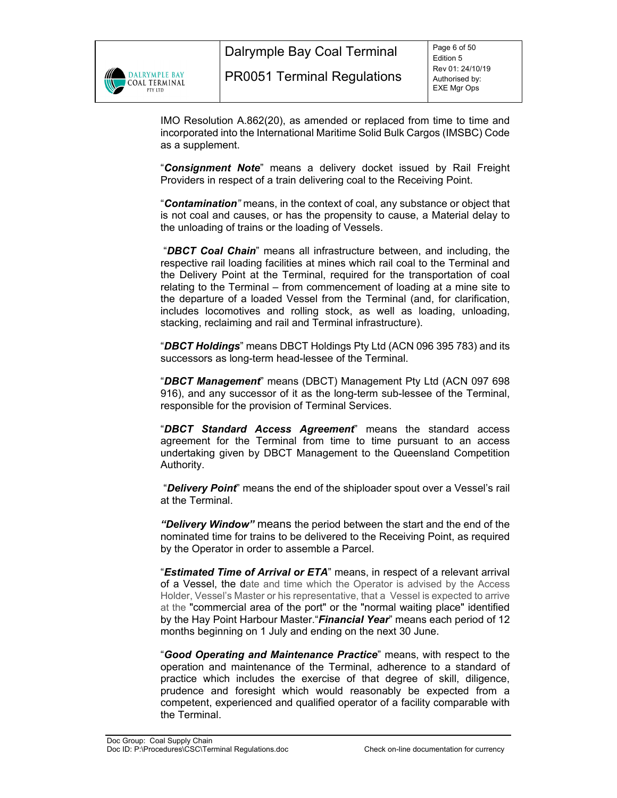

Dalrymple Bay Coal Terminal

IMO Resolution A.862(20), as amended or replaced from time to time and incorporated into the International Maritime Solid Bulk Cargos (IMSBC) Code as a supplement.

"*Consignment Note*" means a delivery docket issued by Rail Freight Providers in respect of a train delivering coal to the Receiving Point.

"*Contamination"* means, in the context of coal, any substance or object that is not coal and causes, or has the propensity to cause, a Material delay to the unloading of trains or the loading of Vessels.

 "*DBCT Coal Chain*" means all infrastructure between, and including, the respective rail loading facilities at mines which rail coal to the Terminal and the Delivery Point at the Terminal, required for the transportation of coal relating to the Terminal – from commencement of loading at a mine site to the departure of a loaded Vessel from the Terminal (and, for clarification, includes locomotives and rolling stock, as well as loading, unloading, stacking, reclaiming and rail and Terminal infrastructure).

"*DBCT Holdings*" means DBCT Holdings Pty Ltd (ACN 096 395 783) and its successors as long-term head-lessee of the Terminal.

"*DBCT Management*" means (DBCT) Management Pty Ltd (ACN 097 698 916), and any successor of it as the long-term sub-lessee of the Terminal, responsible for the provision of Terminal Services.

"*DBCT Standard Access Agreement*" means the standard access agreement for the Terminal from time to time pursuant to an access undertaking given by DBCT Management to the Queensland Competition Authority.

 "*Delivery Point*" means the end of the shiploader spout over a Vessel's rail at the Terminal.

*"Delivery Window"* means the period between the start and the end of the nominated time for trains to be delivered to the Receiving Point, as required by the Operator in order to assemble a Parcel.

"*Estimated Time of Arrival or ETA*" means, in respect of a relevant arrival of a Vessel, the date and time which the Operator is advised by the Access Holder, Vessel's Master or his representative, that a Vessel is expected to arrive at the "commercial area of the port" or the "normal waiting place" identified by the Hay Point Harbour Master."*Financial Year*" means each period of 12 months beginning on 1 July and ending on the next 30 June.

"*Good Operating and Maintenance Practice*" means, with respect to the operation and maintenance of the Terminal, adherence to a standard of practice which includes the exercise of that degree of skill, diligence, prudence and foresight which would reasonably be expected from a competent, experienced and qualified operator of a facility comparable with the Terminal.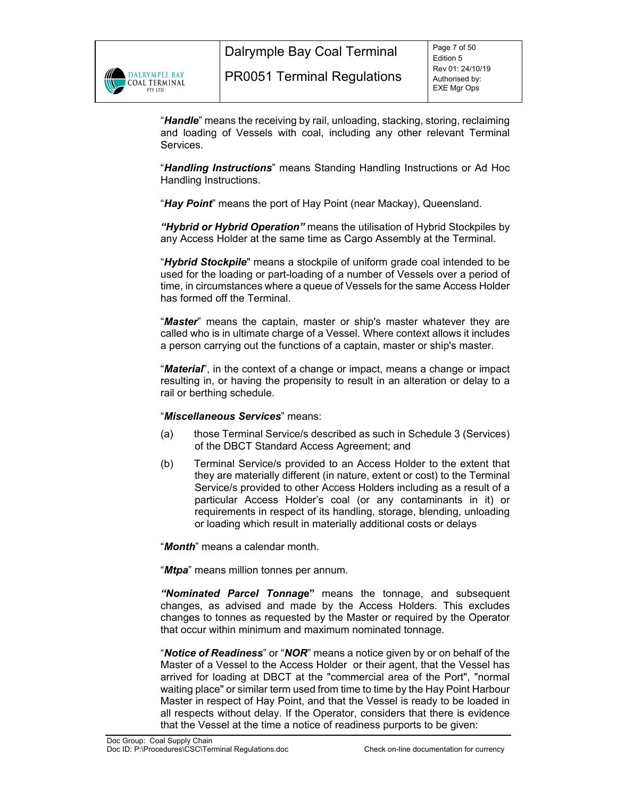

Dalrymple Bay Coal Terminal

"*Handle*" means the receiving by rail, unloading, stacking, storing, reclaiming and loading of Vessels with coal, including any other relevant Terminal Services.

"*Handling Instructions*" means Standing Handling Instructions or Ad Hoc Handling Instructions.

"*Hay Point*" means the port of Hay Point (near Mackay), Queensland.

*"Hybrid or Hybrid Operation"* means the utilisation of Hybrid Stockpiles by any Access Holder at the same time as Cargo Assembly at the Terminal.

"*Hybrid Stockpile*" means a stockpile of uniform grade coal intended to be used for the loading or part-loading of a number of Vessels over a period of time, in circumstances where a queue of Vessels for the same Access Holder has formed off the Terminal.

"*Master*" means the captain, master or ship's master whatever they are called who is in ultimate charge of a Vessel. Where context allows it includes a person carrying out the functions of a captain, master or ship's master.

"*Material*", in the context of a change or impact, means a change or impact resulting in, or having the propensity to result in an alteration or delay to a rail or berthing schedule.

# "*Miscellaneous Services*" means:

- (a) those Terminal Service/s described as such in Schedule 3 (Services) of the DBCT Standard Access Agreement; and
- (b) Terminal Service/s provided to an Access Holder to the extent that they are materially different (in nature, extent or cost) to the Terminal Service/s provided to other Access Holders including as a result of a particular Access Holder's coal (or any contaminants in it) or requirements in respect of its handling, storage, blending, unloading or loading which result in materially additional costs or delays

"*Month*" means a calendar month.

"*Mtpa*" means million tonnes per annum.

*"Nominated Parcel Tonnag***e"** means the tonnage, and subsequent changes, as advised and made by the Access Holders. This excludes changes to tonnes as requested by the Master or required by the Operator that occur within minimum and maximum nominated tonnage.

"*Notice of Readiness*" or "*NOR*" means a notice given by or on behalf of the Master of a Vessel to the Access Holder or their agent, that the Vessel has arrived for loading at DBCT at the "commercial area of the Port", "normal waiting place" or similar term used from time to time by the Hay Point Harbour Master in respect of Hay Point, and that the Vessel is ready to be loaded in all respects without delay. If the Operator, considers that there is evidence that the Vessel at the time a notice of readiness purports to be given: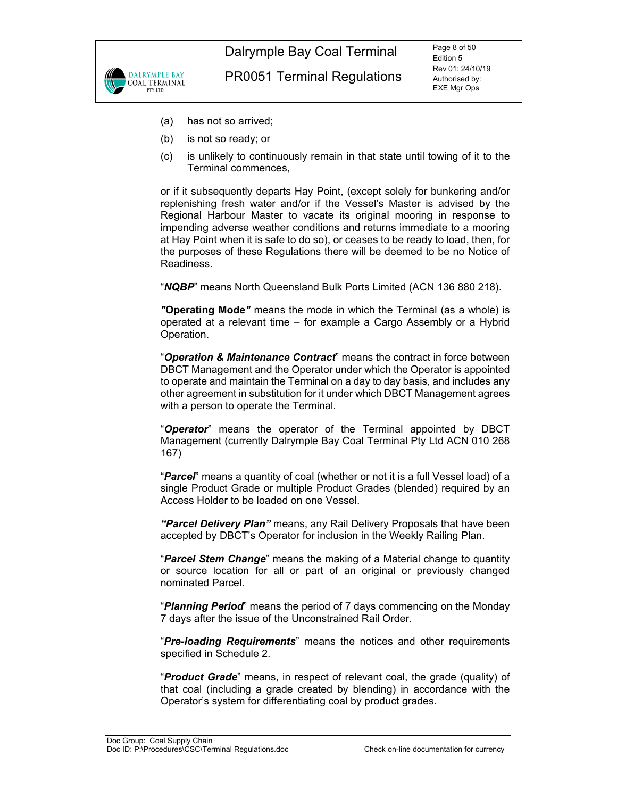

- (a) has not so arrived;
- (b) is not so ready; or
- (c) is unlikely to continuously remain in that state until towing of it to the Terminal commences,

or if it subsequently departs Hay Point, (except solely for bunkering and/or replenishing fresh water and/or if the Vessel's Master is advised by the Regional Harbour Master to vacate its original mooring in response to impending adverse weather conditions and returns immediate to a mooring at Hay Point when it is safe to do so), or ceases to be ready to load, then, for the purposes of these Regulations there will be deemed to be no Notice of Readiness.

"*NQBP*" means North Queensland Bulk Ports Limited (ACN 136 880 218).

*"***Operating Mode***"* means the mode in which the Terminal (as a whole) is operated at a relevant time – for example a Cargo Assembly or a Hybrid Operation.

"*Operation & Maintenance Contract*" means the contract in force between DBCT Management and the Operator under which the Operator is appointed to operate and maintain the Terminal on a day to day basis, and includes any other agreement in substitution for it under which DBCT Management agrees with a person to operate the Terminal.

"*Operator*" means the operator of the Terminal appointed by DBCT Management (currently Dalrymple Bay Coal Terminal Pty Ltd ACN 010 268 167)

"*Parcel*" means a quantity of coal (whether or not it is a full Vessel load) of a single Product Grade or multiple Product Grades (blended) required by an Access Holder to be loaded on one Vessel.

*"Parcel Delivery Plan"* means, any Rail Delivery Proposals that have been accepted by DBCT's Operator for inclusion in the Weekly Railing Plan.

"*Parcel Stem Change*" means the making of a Material change to quantity or source location for all or part of an original or previously changed nominated Parcel.

"*Planning Period*" means the period of 7 days commencing on the Monday 7 days after the issue of the Unconstrained Rail Order.

"*Pre-loading Requirements*" means the notices and other requirements specified in Schedule 2.

"*Product Grade*" means, in respect of relevant coal, the grade (quality) of that coal (including a grade created by blending) in accordance with the Operator's system for differentiating coal by product grades.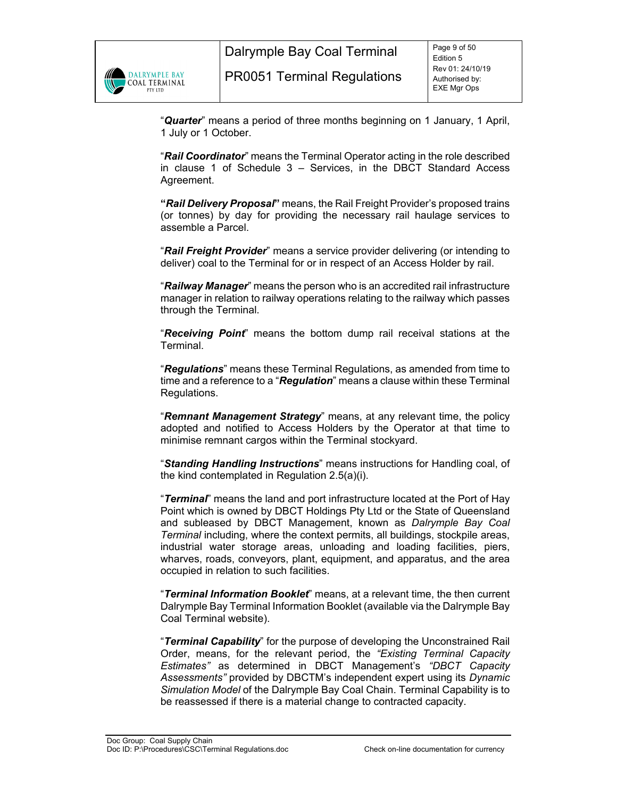

Dalrymple Bay Coal Terminal

"*Quarter*" means a period of three months beginning on 1 January, 1 April, 1 July or 1 October.

"*Rail Coordinator*" means the Terminal Operator acting in the role described in clause 1 of Schedule 3 – Services, in the DBCT Standard Access Agreement.

**"***Rail Delivery Proposal***"** means, the Rail Freight Provider's proposed trains (or tonnes) by day for providing the necessary rail haulage services to assemble a Parcel.

"*Rail Freight Provider*" means a service provider delivering (or intending to deliver) coal to the Terminal for or in respect of an Access Holder by rail.

"*Railway Manager*" means the person who is an accredited rail infrastructure manager in relation to railway operations relating to the railway which passes through the Terminal.

"*Receiving Point*" means the bottom dump rail receival stations at the Terminal.

"*Regulations*" means these Terminal Regulations, as amended from time to time and a reference to a "*Regulation*" means a clause within these Terminal Regulations.

"*Remnant Management Strategy*" means, at any relevant time, the policy adopted and notified to Access Holders by the Operator at that time to minimise remnant cargos within the Terminal stockyard.

"*Standing Handling Instructions*" means instructions for Handling coal, of the kind contemplated in Regulation 2.5(a)(i).

"*Terminal*" means the land and port infrastructure located at the Port of Hay Point which is owned by DBCT Holdings Pty Ltd or the State of Queensland and subleased by DBCT Management, known as *Dalrymple Bay Coal Terminal* including, where the context permits, all buildings, stockpile areas, industrial water storage areas, unloading and loading facilities, piers, wharves, roads, conveyors, plant, equipment, and apparatus, and the area occupied in relation to such facilities.

"*Terminal Information Booklet*" means, at a relevant time, the then current Dalrymple Bay Terminal Information Booklet (available via the Dalrymple Bay Coal Terminal website).

"*Terminal Capability*" for the purpose of developing the Unconstrained Rail Order, means, for the relevant period, the *"Existing Terminal Capacity Estimates"* as determined in DBCT Management's *"DBCT Capacity Assessments"* provided by DBCTM's independent expert using its *Dynamic Simulation Model* of the Dalrymple Bay Coal Chain. Terminal Capability is to be reassessed if there is a material change to contracted capacity.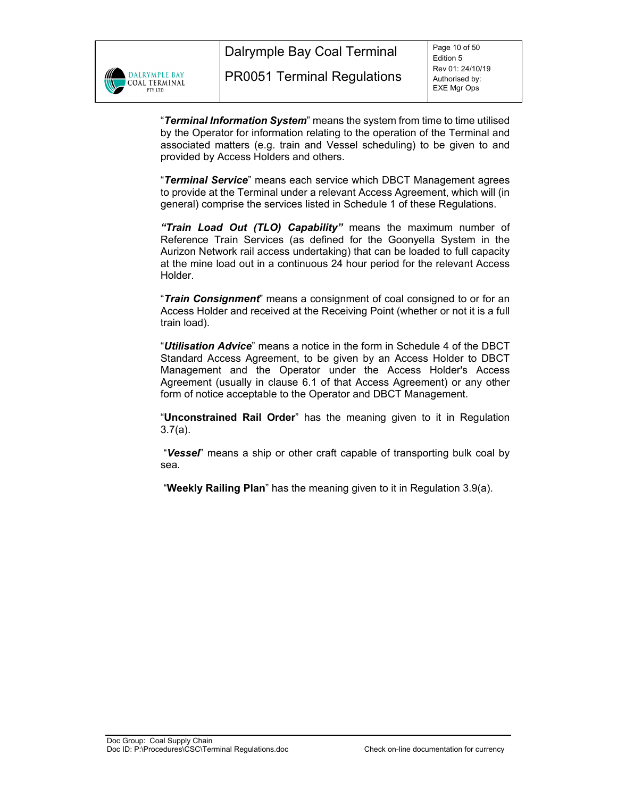

Dalrymple Bay Coal Terminal

"*Terminal Information System*" means the system from time to time utilised by the Operator for information relating to the operation of the Terminal and associated matters (e.g. train and Vessel scheduling) to be given to and provided by Access Holders and others.

"*Terminal Service*" means each service which DBCT Management agrees to provide at the Terminal under a relevant Access Agreement, which will (in general) comprise the services listed in Schedule 1 of these Regulations.

*"Train Load Out (TLO) Capability"* means the maximum number of Reference Train Services (as defined for the Goonyella System in the Aurizon Network rail access undertaking) that can be loaded to full capacity at the mine load out in a continuous 24 hour period for the relevant Access Holder.

"*Train Consignment*" means a consignment of coal consigned to or for an Access Holder and received at the Receiving Point (whether or not it is a full train load).

"*Utilisation Advice*" means a notice in the form in Schedule 4 of the DBCT Standard Access Agreement, to be given by an Access Holder to DBCT Management and the Operator under the Access Holder's Access Agreement (usually in clause 6.1 of that Access Agreement) or any other form of notice acceptable to the Operator and DBCT Management.

"**Unconstrained Rail Order**" has the meaning given to it in Regulation 3.7(a).

 "*Vessel*" means a ship or other craft capable of transporting bulk coal by sea.

"**Weekly Railing Plan**" has the meaning given to it in Regulation 3.9(a).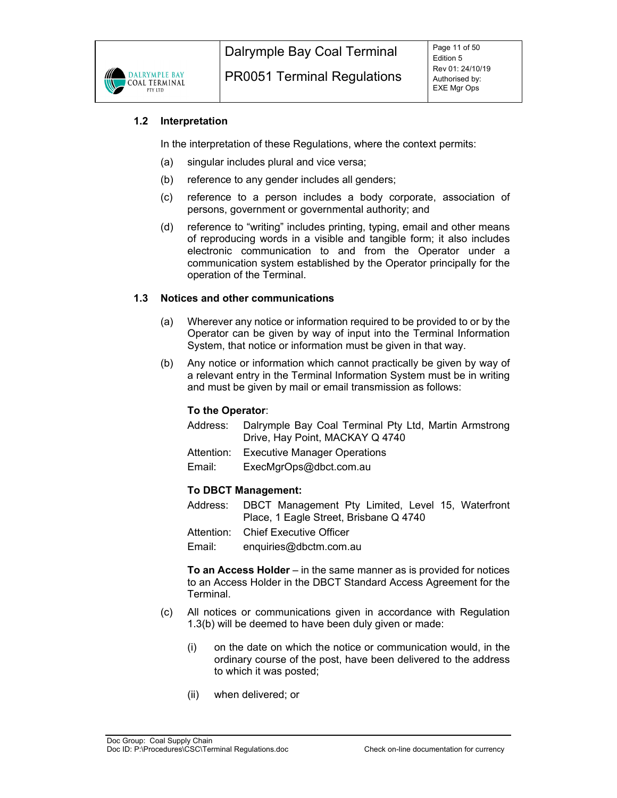

# **1.2 Interpretation**

In the interpretation of these Regulations, where the context permits:

- (a) singular includes plural and vice versa;
- (b) reference to any gender includes all genders;
- (c) reference to a person includes a body corporate, association of persons, government or governmental authority; and
- (d) reference to "writing" includes printing, typing, email and other means of reproducing words in a visible and tangible form; it also includes electronic communication to and from the Operator under a communication system established by the Operator principally for the operation of the Terminal.

# **1.3 Notices and other communications**

- (a) Wherever any notice or information required to be provided to or by the Operator can be given by way of input into the Terminal Information System, that notice or information must be given in that way.
- (b) Any notice or information which cannot practically be given by way of a relevant entry in the Terminal Information System must be in writing and must be given by mail or email transmission as follows:

# **To the Operator**:

- Address: Dalrymple Bay Coal Terminal Pty Ltd, Martin Armstrong Drive, Hay Point, MACKAY Q 4740
- Attention: Executive Manager Operations
- Email: ExecMgrOps@dbct.com.au

# **To DBCT Management:**

- Address: DBCT Management Pty Limited, Level 15, Waterfront Place, 1 Eagle Street, Brisbane Q 4740
- Attention: Chief Executive Officer

Email: enquiries@dbctm.com.au

**To an Access Holder** – in the same manner as is provided for notices to an Access Holder in the DBCT Standard Access Agreement for the Terminal.

- (c) All notices or communications given in accordance with Regulation 1.3(b) will be deemed to have been duly given or made:
	- (i) on the date on which the notice or communication would, in the ordinary course of the post, have been delivered to the address to which it was posted;
	- (ii) when delivered; or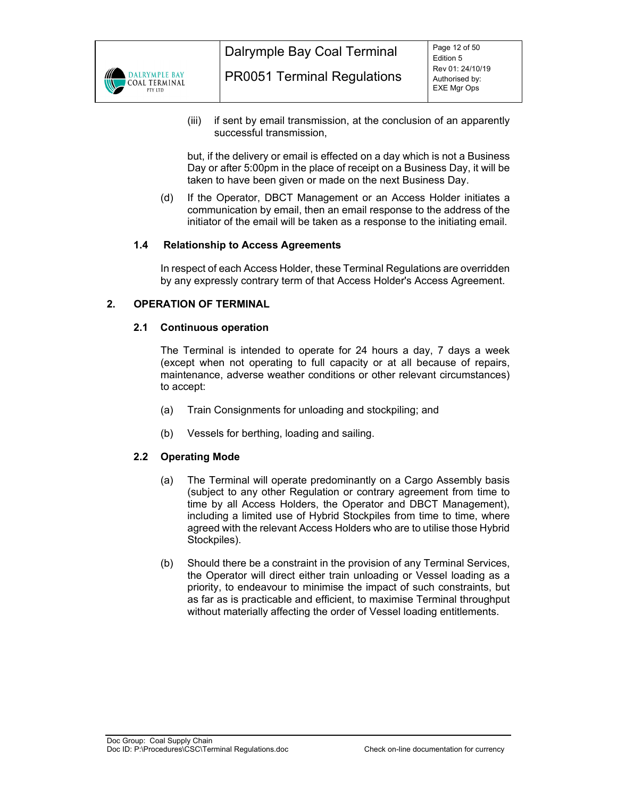

(iii) if sent by email transmission, at the conclusion of an apparently successful transmission,

 but, if the delivery or email is effected on a day which is not a Business Day or after 5:00pm in the place of receipt on a Business Day, it will be taken to have been given or made on the next Business Day.

(d) If the Operator, DBCT Management or an Access Holder initiates a communication by email, then an email response to the address of the initiator of the email will be taken as a response to the initiating email.

# **1.4 Relationship to Access Agreements**

In respect of each Access Holder, these Terminal Regulations are overridden by any expressly contrary term of that Access Holder's Access Agreement.

# **2. OPERATION OF TERMINAL**

#### **2.1 Continuous operation**

The Terminal is intended to operate for 24 hours a day, 7 days a week (except when not operating to full capacity or at all because of repairs, maintenance, adverse weather conditions or other relevant circumstances) to accept:

- (a) Train Consignments for unloading and stockpiling; and
- (b) Vessels for berthing, loading and sailing.

# **2.2 Operating Mode**

- (a) The Terminal will operate predominantly on a Cargo Assembly basis (subject to any other Regulation or contrary agreement from time to time by all Access Holders, the Operator and DBCT Management), including a limited use of Hybrid Stockpiles from time to time, where agreed with the relevant Access Holders who are to utilise those Hybrid Stockpiles).
- (b) Should there be a constraint in the provision of any Terminal Services, the Operator will direct either train unloading or Vessel loading as a priority, to endeavour to minimise the impact of such constraints, but as far as is practicable and efficient, to maximise Terminal throughput without materially affecting the order of Vessel loading entitlements.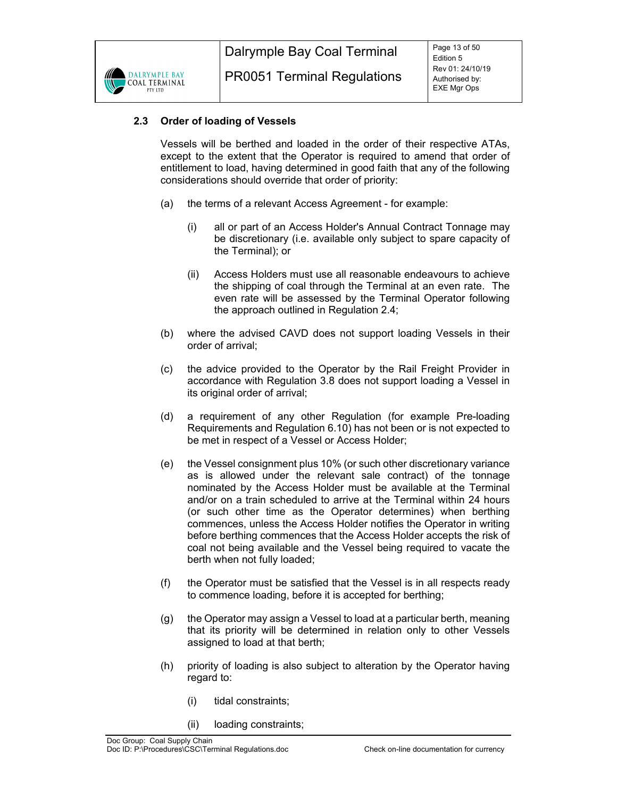

# **2.3 Order of loading of Vessels**

Vessels will be berthed and loaded in the order of their respective ATAs, except to the extent that the Operator is required to amend that order of entitlement to load, having determined in good faith that any of the following considerations should override that order of priority:

- (a) the terms of a relevant Access Agreement for example:
	- (i) all or part of an Access Holder's Annual Contract Tonnage may be discretionary (i.e. available only subject to spare capacity of the Terminal); or
	- (ii) Access Holders must use all reasonable endeavours to achieve the shipping of coal through the Terminal at an even rate. The even rate will be assessed by the Terminal Operator following the approach outlined in Regulation 2.4;
- (b) where the advised CAVD does not support loading Vessels in their order of arrival;
- (c) the advice provided to the Operator by the Rail Freight Provider in accordance with Regulation 3.8 does not support loading a Vessel in its original order of arrival;
- (d) a requirement of any other Regulation (for example Pre-loading Requirements and Regulation 6.10) has not been or is not expected to be met in respect of a Vessel or Access Holder;
- (e) the Vessel consignment plus 10% (or such other discretionary variance as is allowed under the relevant sale contract) of the tonnage nominated by the Access Holder must be available at the Terminal and/or on a train scheduled to arrive at the Terminal within 24 hours (or such other time as the Operator determines) when berthing commences, unless the Access Holder notifies the Operator in writing before berthing commences that the Access Holder accepts the risk of coal not being available and the Vessel being required to vacate the berth when not fully loaded;
- (f) the Operator must be satisfied that the Vessel is in all respects ready to commence loading, before it is accepted for berthing;
- (g) the Operator may assign a Vessel to load at a particular berth, meaning that its priority will be determined in relation only to other Vessels assigned to load at that berth;
- (h) priority of loading is also subject to alteration by the Operator having regard to:
	- (i) tidal constraints;
	- (ii) loading constraints;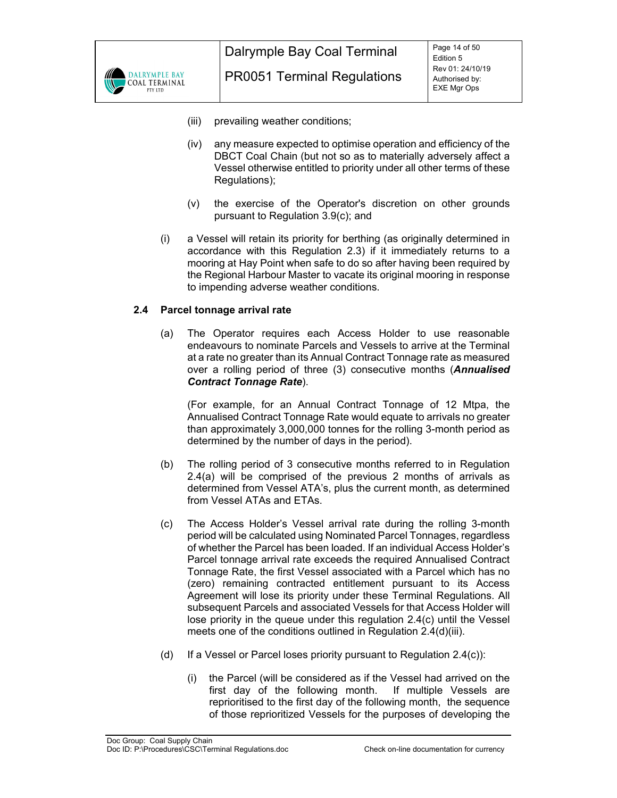

- PR0051 Terminal Regulations
- (iii) prevailing weather conditions;
- (iv) any measure expected to optimise operation and efficiency of the DBCT Coal Chain (but not so as to materially adversely affect a Vessel otherwise entitled to priority under all other terms of these Regulations);
- (v) the exercise of the Operator's discretion on other grounds pursuant to Regulation 3.9(c); and
- (i) a Vessel will retain its priority for berthing (as originally determined in accordance with this Regulation 2.3) if it immediately returns to a mooring at Hay Point when safe to do so after having been required by the Regional Harbour Master to vacate its original mooring in response to impending adverse weather conditions.

# **2.4 Parcel tonnage arrival rate**

(a) The Operator requires each Access Holder to use reasonable endeavours to nominate Parcels and Vessels to arrive at the Terminal at a rate no greater than its Annual Contract Tonnage rate as measured over a rolling period of three (3) consecutive months (*Annualised Contract Tonnage Rate*).

(For example, for an Annual Contract Tonnage of 12 Mtpa, the Annualised Contract Tonnage Rate would equate to arrivals no greater than approximately 3,000,000 tonnes for the rolling 3-month period as determined by the number of days in the period).

- (b) The rolling period of 3 consecutive months referred to in Regulation 2.4(a) will be comprised of the previous 2 months of arrivals as determined from Vessel ATA's, plus the current month, as determined from Vessel ATAs and ETAs.
- (c) The Access Holder's Vessel arrival rate during the rolling 3-month period will be calculated using Nominated Parcel Tonnages, regardless of whether the Parcel has been loaded. If an individual Access Holder's Parcel tonnage arrival rate exceeds the required Annualised Contract Tonnage Rate, the first Vessel associated with a Parcel which has no (zero) remaining contracted entitlement pursuant to its Access Agreement will lose its priority under these Terminal Regulations. All subsequent Parcels and associated Vessels for that Access Holder will lose priority in the queue under this regulation 2.4(c) until the Vessel meets one of the conditions outlined in Regulation 2.4(d)(iii).
- (d) If a Vessel or Parcel loses priority pursuant to Regulation  $2.4(c)$ :
	- (i) the Parcel (will be considered as if the Vessel had arrived on the first day of the following month. If multiple Vessels are reprioritised to the first day of the following month, the sequence of those reprioritized Vessels for the purposes of developing the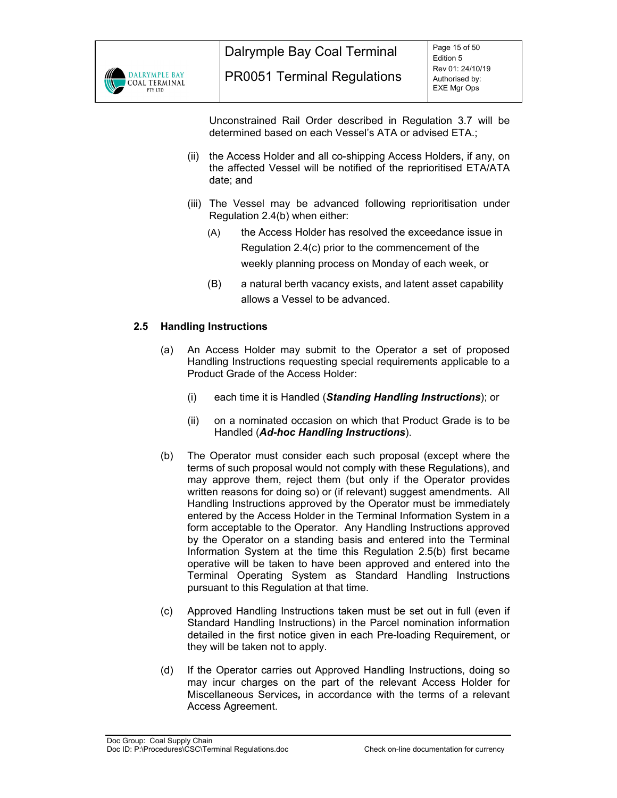

Unconstrained Rail Order described in Regulation 3.7 will be determined based on each Vessel's ATA or advised ETA.;

- (ii) the Access Holder and all co-shipping Access Holders, if any, on the affected Vessel will be notified of the reprioritised ETA/ATA date; and
- (iii) The Vessel may be advanced following reprioritisation under Regulation 2.4(b) when either:
	- (A) the Access Holder has resolved the exceedance issue in Regulation 2.4(c) prior to the commencement of the weekly planning process on Monday of each week, or
	- (B) a natural berth vacancy exists, and latent asset capability allows a Vessel to be advanced.

# **2.5 Handling Instructions**

- (a) An Access Holder may submit to the Operator a set of proposed Handling Instructions requesting special requirements applicable to a Product Grade of the Access Holder:
	- (i) each time it is Handled (*Standing Handling Instructions*); or
	- (ii) on a nominated occasion on which that Product Grade is to be Handled (*Ad-hoc Handling Instructions*).
- (b) The Operator must consider each such proposal (except where the terms of such proposal would not comply with these Regulations), and may approve them, reject them (but only if the Operator provides written reasons for doing so) or (if relevant) suggest amendments. All Handling Instructions approved by the Operator must be immediately entered by the Access Holder in the Terminal Information System in a form acceptable to the Operator. Any Handling Instructions approved by the Operator on a standing basis and entered into the Terminal Information System at the time this Regulation 2.5(b) first became operative will be taken to have been approved and entered into the Terminal Operating System as Standard Handling Instructions pursuant to this Regulation at that time.
- (c) Approved Handling Instructions taken must be set out in full (even if Standard Handling Instructions) in the Parcel nomination information detailed in the first notice given in each Pre-loading Requirement, or they will be taken not to apply.
- (d) If the Operator carries out Approved Handling Instructions, doing so may incur charges on the part of the relevant Access Holder for Miscellaneous Services*,* in accordance with the terms of a relevant Access Agreement.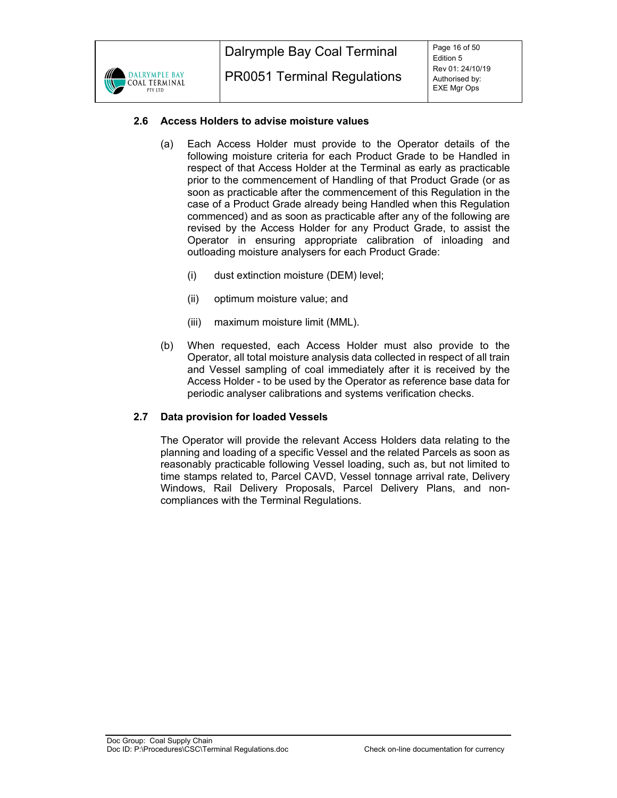

# **2.6 Access Holders to advise moisture values**

- (a) Each Access Holder must provide to the Operator details of the following moisture criteria for each Product Grade to be Handled in respect of that Access Holder at the Terminal as early as practicable prior to the commencement of Handling of that Product Grade (or as soon as practicable after the commencement of this Regulation in the case of a Product Grade already being Handled when this Regulation commenced) and as soon as practicable after any of the following are revised by the Access Holder for any Product Grade, to assist the Operator in ensuring appropriate calibration of inloading and outloading moisture analysers for each Product Grade:
	- (i) dust extinction moisture (DEM) level;
	- (ii) optimum moisture value; and
	- (iii) maximum moisture limit (MML).
- (b) When requested, each Access Holder must also provide to the Operator, all total moisture analysis data collected in respect of all train and Vessel sampling of coal immediately after it is received by the Access Holder - to be used by the Operator as reference base data for periodic analyser calibrations and systems verification checks.

# **2.7 Data provision for loaded Vessels**

The Operator will provide the relevant Access Holders data relating to the planning and loading of a specific Vessel and the related Parcels as soon as reasonably practicable following Vessel loading, such as, but not limited to time stamps related to, Parcel CAVD, Vessel tonnage arrival rate, Delivery Windows, Rail Delivery Proposals, Parcel Delivery Plans, and noncompliances with the Terminal Regulations.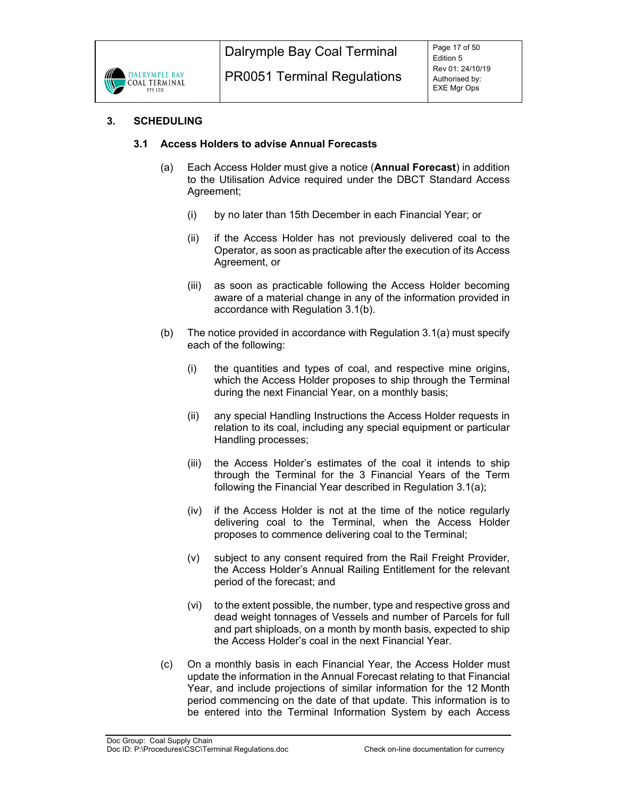

# **3. SCHEDULING**

# **3.1 Access Holders to advise Annual Forecasts**

- (a) Each Access Holder must give a notice (**Annual Forecast**) in addition to the Utilisation Advice required under the DBCT Standard Access Agreement;
	- (i) by no later than 15th December in each Financial Year; or
	- (ii) if the Access Holder has not previously delivered coal to the Operator, as soon as practicable after the execution of its Access Agreement, or
	- (iii) as soon as practicable following the Access Holder becoming aware of a material change in any of the information provided in accordance with Regulation 3.1(b).
- (b) The notice provided in accordance with Regulation 3.1(a) must specify each of the following:
	- (i) the quantities and types of coal, and respective mine origins, which the Access Holder proposes to ship through the Terminal during the next Financial Year, on a monthly basis;
	- (ii) any special Handling Instructions the Access Holder requests in relation to its coal, including any special equipment or particular Handling processes;
	- (iii) the Access Holder's estimates of the coal it intends to ship through the Terminal for the 3 Financial Years of the Term following the Financial Year described in Regulation 3.1(a);
	- (iv) if the Access Holder is not at the time of the notice regularly delivering coal to the Terminal, when the Access Holder proposes to commence delivering coal to the Terminal;
	- (v) subject to any consent required from the Rail Freight Provider, the Access Holder's Annual Railing Entitlement for the relevant period of the forecast; and
	- (vi) to the extent possible, the number, type and respective gross and dead weight tonnages of Vessels and number of Parcels for full and part shiploads, on a month by month basis, expected to ship the Access Holder's coal in the next Financial Year.
- (c) On a monthly basis in each Financial Year, the Access Holder must update the information in the Annual Forecast relating to that Financial Year, and include projections of similar information for the 12 Month period commencing on the date of that update. This information is to be entered into the Terminal Information System by each Access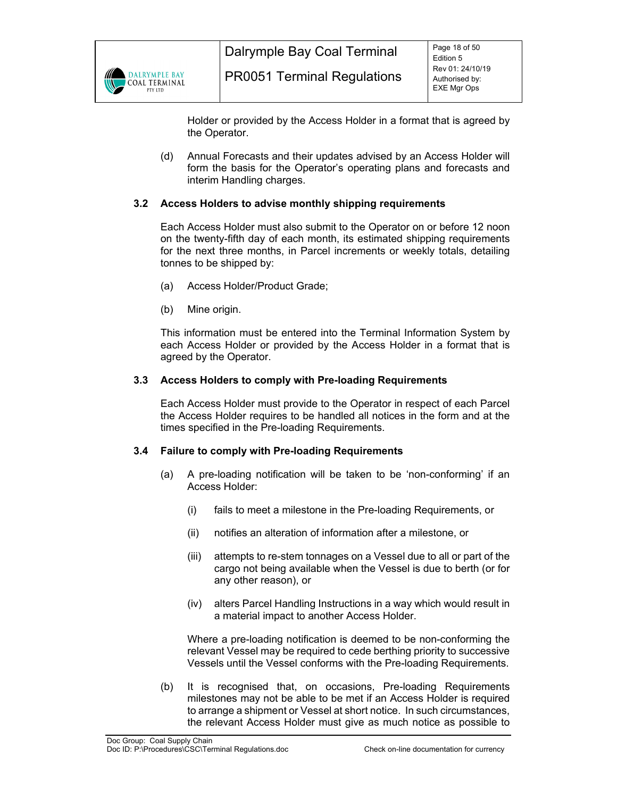

Holder or provided by the Access Holder in a format that is agreed by the Operator.

(d) Annual Forecasts and their updates advised by an Access Holder will form the basis for the Operator's operating plans and forecasts and interim Handling charges.

# **3.2 Access Holders to advise monthly shipping requirements**

Each Access Holder must also submit to the Operator on or before 12 noon on the twenty-fifth day of each month, its estimated shipping requirements for the next three months, in Parcel increments or weekly totals, detailing tonnes to be shipped by:

- (a) Access Holder/Product Grade;
- (b) Mine origin.

This information must be entered into the Terminal Information System by each Access Holder or provided by the Access Holder in a format that is agreed by the Operator.

#### **3.3 Access Holders to comply with Pre-loading Requirements**

Each Access Holder must provide to the Operator in respect of each Parcel the Access Holder requires to be handled all notices in the form and at the times specified in the Pre-loading Requirements.

#### **3.4 Failure to comply with Pre-loading Requirements**

- (a) A pre-loading notification will be taken to be 'non-conforming' if an Access Holder:
	- (i) fails to meet a milestone in the Pre-loading Requirements, or
	- (ii) notifies an alteration of information after a milestone, or
	- (iii) attempts to re-stem tonnages on a Vessel due to all or part of the cargo not being available when the Vessel is due to berth (or for any other reason), or
	- (iv) alters Parcel Handling Instructions in a way which would result in a material impact to another Access Holder.

Where a pre-loading notification is deemed to be non-conforming the relevant Vessel may be required to cede berthing priority to successive Vessels until the Vessel conforms with the Pre-loading Requirements.

(b) It is recognised that, on occasions, Pre-loading Requirements milestones may not be able to be met if an Access Holder is required to arrange a shipment or Vessel at short notice. In such circumstances, the relevant Access Holder must give as much notice as possible to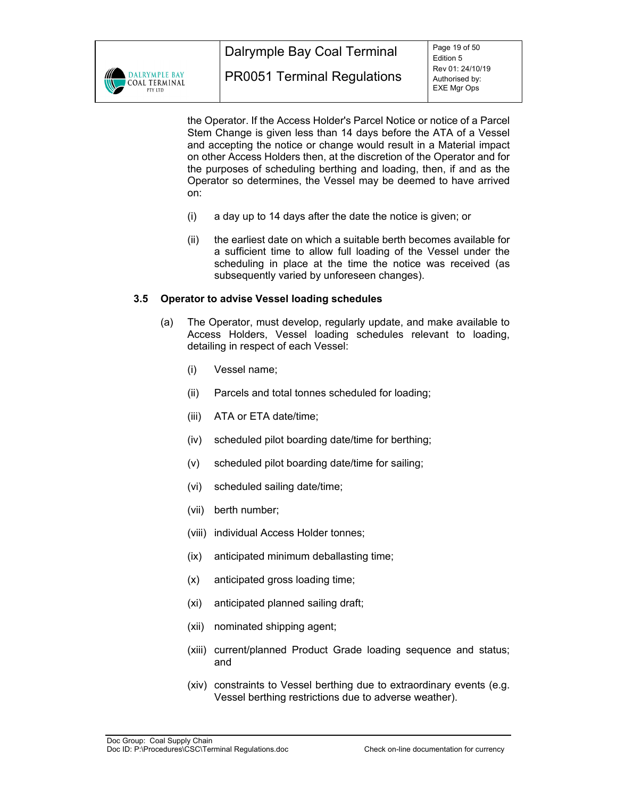

the Operator. If the Access Holder's Parcel Notice or notice of a Parcel Stem Change is given less than 14 days before the ATA of a Vessel and accepting the notice or change would result in a Material impact on other Access Holders then, at the discretion of the Operator and for the purposes of scheduling berthing and loading, then, if and as the Operator so determines, the Vessel may be deemed to have arrived on:

- (i) a day up to 14 days after the date the notice is given; or
- (ii) the earliest date on which a suitable berth becomes available for a sufficient time to allow full loading of the Vessel under the scheduling in place at the time the notice was received (as subsequently varied by unforeseen changes).

#### **3.5 Operator to advise Vessel loading schedules**

- (a) The Operator, must develop, regularly update, and make available to Access Holders, Vessel loading schedules relevant to loading, detailing in respect of each Vessel:
	- (i) Vessel name;
	- (ii) Parcels and total tonnes scheduled for loading;
	- (iii) ATA or ETA date/time;
	- (iv) scheduled pilot boarding date/time for berthing;
	- (v) scheduled pilot boarding date/time for sailing;
	- (vi) scheduled sailing date/time;
	- (vii) berth number;
	- (viii) individual Access Holder tonnes;
	- (ix) anticipated minimum deballasting time;
	- (x) anticipated gross loading time;
	- (xi) anticipated planned sailing draft;
	- (xii) nominated shipping agent;
	- (xiii) current/planned Product Grade loading sequence and status; and
	- (xiv) constraints to Vessel berthing due to extraordinary events (e.g. Vessel berthing restrictions due to adverse weather).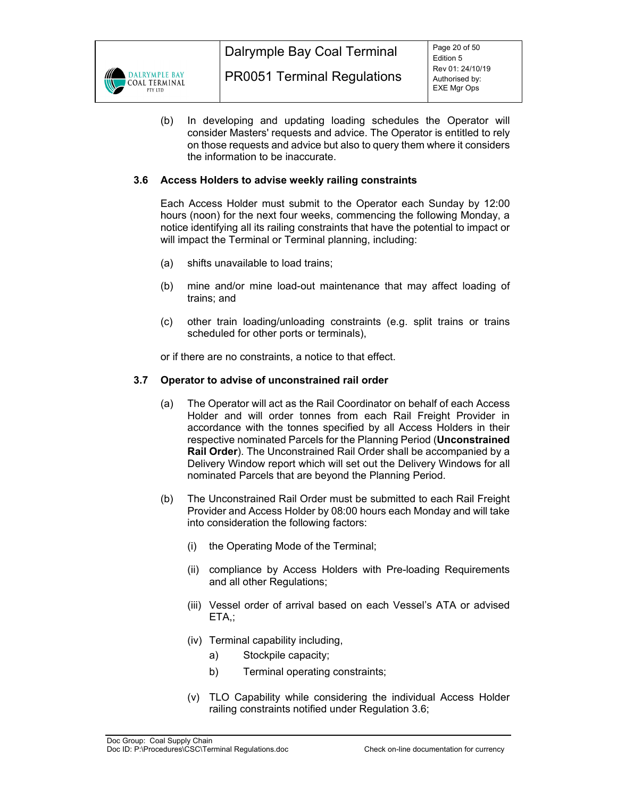

(b) In developing and updating loading schedules the Operator will consider Masters' requests and advice. The Operator is entitled to rely on those requests and advice but also to query them where it considers the information to be inaccurate.

# **3.6 Access Holders to advise weekly railing constraints**

Each Access Holder must submit to the Operator each Sunday by 12:00 hours (noon) for the next four weeks, commencing the following Monday, a notice identifying all its railing constraints that have the potential to impact or will impact the Terminal or Terminal planning, including:

- (a) shifts unavailable to load trains;
- (b) mine and/or mine load-out maintenance that may affect loading of trains; and
- (c) other train loading/unloading constraints (e.g. split trains or trains scheduled for other ports or terminals),

or if there are no constraints, a notice to that effect.

#### **3.7 Operator to advise of unconstrained rail order**

- (a) The Operator will act as the Rail Coordinator on behalf of each Access Holder and will order tonnes from each Rail Freight Provider in accordance with the tonnes specified by all Access Holders in their respective nominated Parcels for the Planning Period (**Unconstrained Rail Order**). The Unconstrained Rail Order shall be accompanied by a Delivery Window report which will set out the Delivery Windows for all nominated Parcels that are beyond the Planning Period.
- (b) The Unconstrained Rail Order must be submitted to each Rail Freight Provider and Access Holder by 08:00 hours each Monday and will take into consideration the following factors:
	- (i) the Operating Mode of the Terminal;
	- (ii) compliance by Access Holders with Pre-loading Requirements and all other Regulations;
	- (iii) Vessel order of arrival based on each Vessel's ATA or advised ETA,;
	- (iv) Terminal capability including,
		- a) Stockpile capacity;
		- b) Terminal operating constraints;
	- (v) TLO Capability while considering the individual Access Holder railing constraints notified under Regulation 3.6;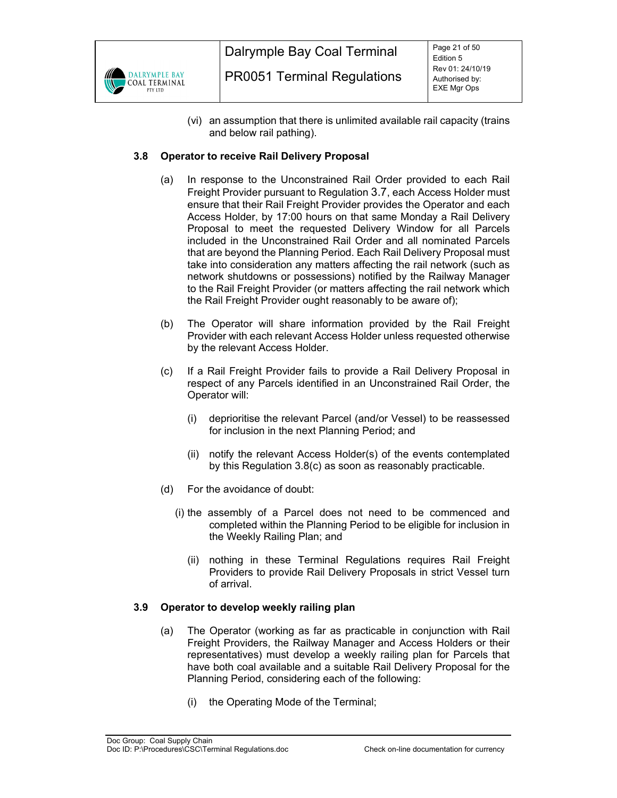

(vi) an assumption that there is unlimited available rail capacity (trains and below rail pathing).

# **3.8 Operator to receive Rail Delivery Proposal**

- (a) In response to the Unconstrained Rail Order provided to each Rail Freight Provider pursuant to Regulation 3.7, each Access Holder must ensure that their Rail Freight Provider provides the Operator and each Access Holder, by 17:00 hours on that same Monday a Rail Delivery Proposal to meet the requested Delivery Window for all Parcels included in the Unconstrained Rail Order and all nominated Parcels that are beyond the Planning Period. Each Rail Delivery Proposal must take into consideration any matters affecting the rail network (such as network shutdowns or possessions) notified by the Railway Manager to the Rail Freight Provider (or matters affecting the rail network which the Rail Freight Provider ought reasonably to be aware of);
- (b) The Operator will share information provided by the Rail Freight Provider with each relevant Access Holder unless requested otherwise by the relevant Access Holder.
- (c) If a Rail Freight Provider fails to provide a Rail Delivery Proposal in respect of any Parcels identified in an Unconstrained Rail Order, the Operator will:
	- (i) deprioritise the relevant Parcel (and/or Vessel) to be reassessed for inclusion in the next Planning Period; and
	- (ii) notify the relevant Access Holder(s) of the events contemplated by this Regulation 3.8(c) as soon as reasonably practicable.
- (d) For the avoidance of doubt:
	- (i) the assembly of a Parcel does not need to be commenced and completed within the Planning Period to be eligible for inclusion in the Weekly Railing Plan; and
		- (ii) nothing in these Terminal Regulations requires Rail Freight Providers to provide Rail Delivery Proposals in strict Vessel turn of arrival.

#### **3.9 Operator to develop weekly railing plan**

- (a) The Operator (working as far as practicable in conjunction with Rail Freight Providers, the Railway Manager and Access Holders or their representatives) must develop a weekly railing plan for Parcels that have both coal available and a suitable Rail Delivery Proposal for the Planning Period, considering each of the following:
	- (i) the Operating Mode of the Terminal;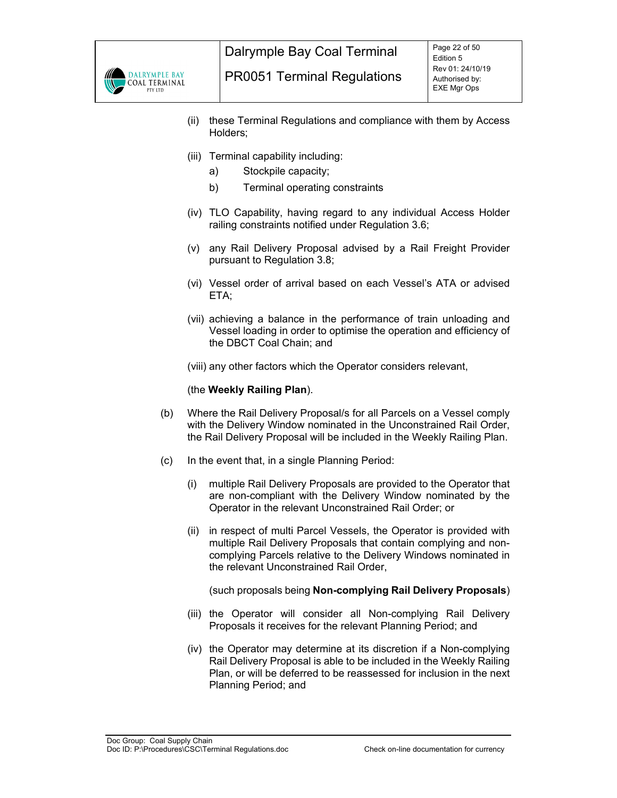

- (ii) these Terminal Regulations and compliance with them by Access Holders;
- (iii) Terminal capability including:
	- a) Stockpile capacity;
	- b) Terminal operating constraints
- (iv) TLO Capability, having regard to any individual Access Holder railing constraints notified under Regulation 3.6;
- (v) any Rail Delivery Proposal advised by a Rail Freight Provider pursuant to Regulation 3.8;
- (vi) Vessel order of arrival based on each Vessel's ATA or advised ETA;
- (vii) achieving a balance in the performance of train unloading and Vessel loading in order to optimise the operation and efficiency of the DBCT Coal Chain; and

(viii) any other factors which the Operator considers relevant,

#### (the **Weekly Railing Plan**).

- (b) Where the Rail Delivery Proposal/s for all Parcels on a Vessel comply with the Delivery Window nominated in the Unconstrained Rail Order, the Rail Delivery Proposal will be included in the Weekly Railing Plan.
- (c) In the event that, in a single Planning Period:
	- (i) multiple Rail Delivery Proposals are provided to the Operator that are non-compliant with the Delivery Window nominated by the Operator in the relevant Unconstrained Rail Order; or
	- (ii) in respect of multi Parcel Vessels, the Operator is provided with multiple Rail Delivery Proposals that contain complying and noncomplying Parcels relative to the Delivery Windows nominated in the relevant Unconstrained Rail Order,

(such proposals being **Non-complying Rail Delivery Proposals**)

- (iii) the Operator will consider all Non-complying Rail Delivery Proposals it receives for the relevant Planning Period; and
- (iv) the Operator may determine at its discretion if a Non-complying Rail Delivery Proposal is able to be included in the Weekly Railing Plan, or will be deferred to be reassessed for inclusion in the next Planning Period; and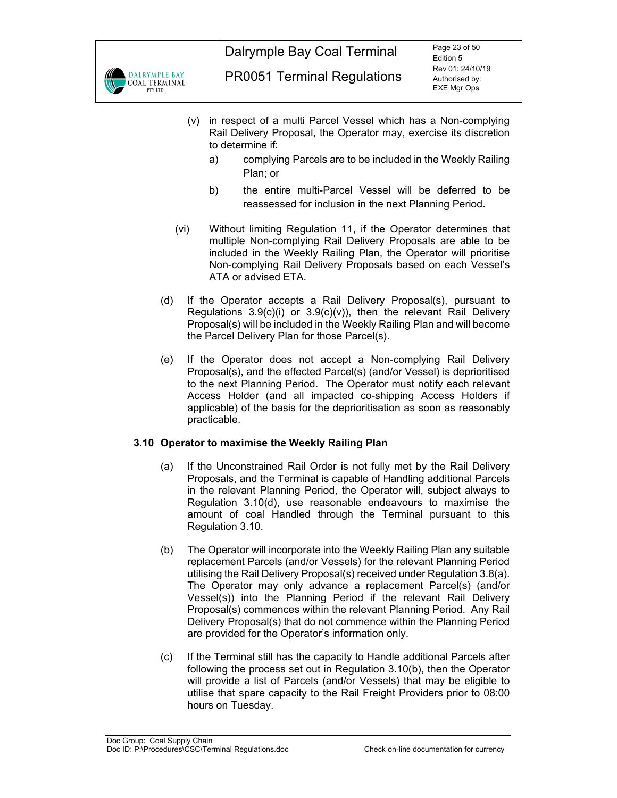

- (v) in respect of a multi Parcel Vessel which has a Non-complying Rail Delivery Proposal, the Operator may, exercise its discretion to determine if:
	- a) complying Parcels are to be included in the Weekly Railing Plan; or
	- b) the entire multi-Parcel Vessel will be deferred to be reassessed for inclusion in the next Planning Period.
- (vi) Without limiting Regulation 11, if the Operator determines that multiple Non-complying Rail Delivery Proposals are able to be included in the Weekly Railing Plan, the Operator will prioritise Non-complying Rail Delivery Proposals based on each Vessel's ATA or advised ETA.
- (d) If the Operator accepts a Rail Delivery Proposal(s), pursuant to Regulations  $3.9(c)(i)$  or  $3.9(c)(v)$ , then the relevant Rail Delivery Proposal(s) will be included in the Weekly Railing Plan and will become the Parcel Delivery Plan for those Parcel(s).
- (e) If the Operator does not accept a Non-complying Rail Delivery Proposal(s), and the effected Parcel(s) (and/or Vessel) is deprioritised to the next Planning Period. The Operator must notify each relevant Access Holder (and all impacted co-shipping Access Holders if applicable) of the basis for the deprioritisation as soon as reasonably practicable.

# **3.10 Operator to maximise the Weekly Railing Plan**

- (a) If the Unconstrained Rail Order is not fully met by the Rail Delivery Proposals, and the Terminal is capable of Handling additional Parcels in the relevant Planning Period, the Operator will, subject always to Regulation 3.10(d), use reasonable endeavours to maximise the amount of coal Handled through the Terminal pursuant to this Regulation 3.10.
- (b) The Operator will incorporate into the Weekly Railing Plan any suitable replacement Parcels (and/or Vessels) for the relevant Planning Period utilising the Rail Delivery Proposal(s) received under Regulation 3.8(a). The Operator may only advance a replacement Parcel(s) (and/or Vessel(s)) into the Planning Period if the relevant Rail Delivery Proposal(s) commences within the relevant Planning Period. Any Rail Delivery Proposal(s) that do not commence within the Planning Period are provided for the Operator's information only.
- (c) If the Terminal still has the capacity to Handle additional Parcels after following the process set out in Regulation 3.10(b), then the Operator will provide a list of Parcels (and/or Vessels) that may be eligible to utilise that spare capacity to the Rail Freight Providers prior to 08:00 hours on Tuesday.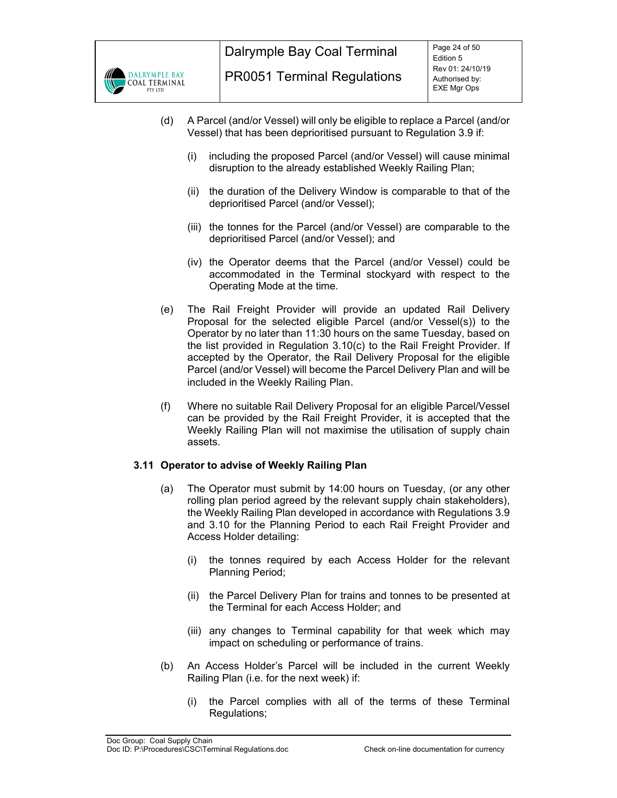

- (d) A Parcel (and/or Vessel) will only be eligible to replace a Parcel (and/or Vessel) that has been deprioritised pursuant to Regulation 3.9 if:
	- (i) including the proposed Parcel (and/or Vessel) will cause minimal disruption to the already established Weekly Railing Plan;
	- (ii) the duration of the Delivery Window is comparable to that of the deprioritised Parcel (and/or Vessel);
	- (iii) the tonnes for the Parcel (and/or Vessel) are comparable to the deprioritised Parcel (and/or Vessel); and
	- (iv) the Operator deems that the Parcel (and/or Vessel) could be accommodated in the Terminal stockyard with respect to the Operating Mode at the time.
- (e) The Rail Freight Provider will provide an updated Rail Delivery Proposal for the selected eligible Parcel (and/or Vessel(s)) to the Operator by no later than 11:30 hours on the same Tuesday, based on the list provided in Regulation 3.10(c) to the Rail Freight Provider. If accepted by the Operator, the Rail Delivery Proposal for the eligible Parcel (and/or Vessel) will become the Parcel Delivery Plan and will be included in the Weekly Railing Plan.
- (f) Where no suitable Rail Delivery Proposal for an eligible Parcel/Vessel can be provided by the Rail Freight Provider, it is accepted that the Weekly Railing Plan will not maximise the utilisation of supply chain assets.

# **3.11 Operator to advise of Weekly Railing Plan**

- (a) The Operator must submit by 14:00 hours on Tuesday, (or any other rolling plan period agreed by the relevant supply chain stakeholders), the Weekly Railing Plan developed in accordance with Regulations 3.9 and 3.10 for the Planning Period to each Rail Freight Provider and Access Holder detailing:
	- (i) the tonnes required by each Access Holder for the relevant Planning Period;
	- (ii) the Parcel Delivery Plan for trains and tonnes to be presented at the Terminal for each Access Holder; and
	- (iii) any changes to Terminal capability for that week which may impact on scheduling or performance of trains.
- (b) An Access Holder's Parcel will be included in the current Weekly Railing Plan (i.e. for the next week) if:
	- (i) the Parcel complies with all of the terms of these Terminal Regulations;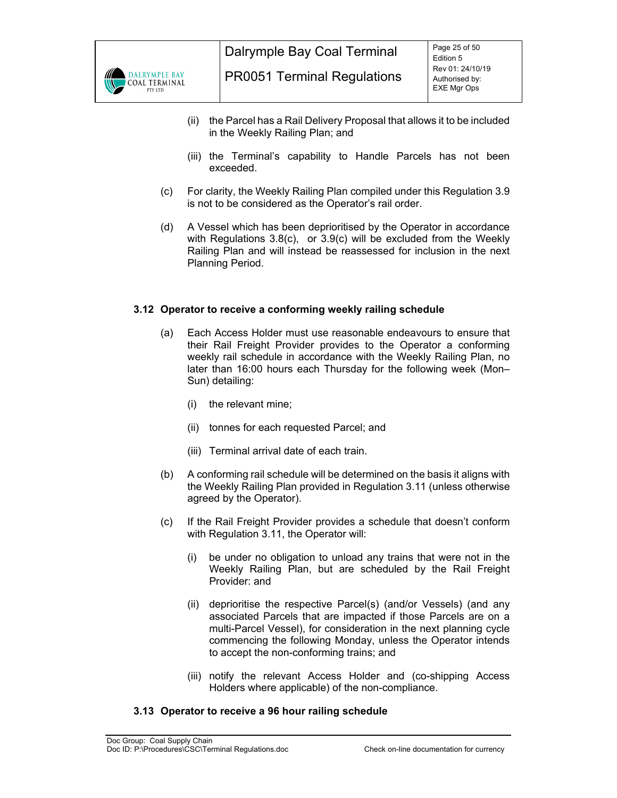

- (ii) the Parcel has a Rail Delivery Proposal that allows it to be included in the Weekly Railing Plan; and
- (iii) the Terminal's capability to Handle Parcels has not been exceeded.
- (c) For clarity, the Weekly Railing Plan compiled under this Regulation 3.9 is not to be considered as the Operator's rail order.
- (d) A Vessel which has been deprioritised by the Operator in accordance with Regulations 3.8(c), or 3.9(c) will be excluded from the Weekly Railing Plan and will instead be reassessed for inclusion in the next Planning Period.

# **3.12 Operator to receive a conforming weekly railing schedule**

- (a) Each Access Holder must use reasonable endeavours to ensure that their Rail Freight Provider provides to the Operator a conforming weekly rail schedule in accordance with the Weekly Railing Plan, no later than 16:00 hours each Thursday for the following week (Mon– Sun) detailing:
	- (i) the relevant mine;
	- (ii) tonnes for each requested Parcel; and
	- (iii) Terminal arrival date of each train.
- (b) A conforming rail schedule will be determined on the basis it aligns with the Weekly Railing Plan provided in Regulation 3.11 (unless otherwise agreed by the Operator).
- (c) If the Rail Freight Provider provides a schedule that doesn't conform with Regulation 3.11, the Operator will:
	- (i) be under no obligation to unload any trains that were not in the Weekly Railing Plan, but are scheduled by the Rail Freight Provider: and
	- (ii) deprioritise the respective Parcel(s) (and/or Vessels) (and any associated Parcels that are impacted if those Parcels are on a multi-Parcel Vessel), for consideration in the next planning cycle commencing the following Monday, unless the Operator intends to accept the non-conforming trains; and
	- (iii) notify the relevant Access Holder and (co-shipping Access Holders where applicable) of the non-compliance.

#### **3.13 Operator to receive a 96 hour railing schedule**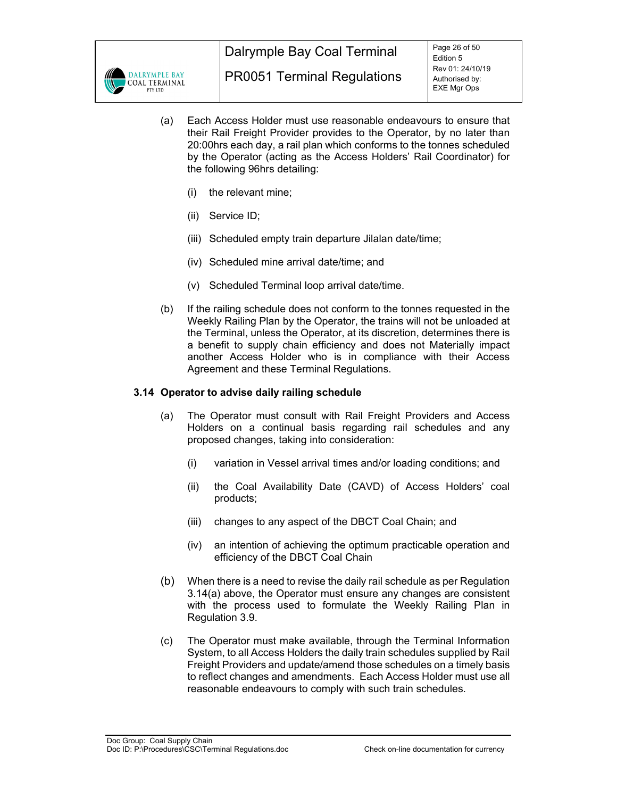

- (a) Each Access Holder must use reasonable endeavours to ensure that their Rail Freight Provider provides to the Operator, by no later than 20:00hrs each day, a rail plan which conforms to the tonnes scheduled by the Operator (acting as the Access Holders' Rail Coordinator) for the following 96hrs detailing:
	- (i) the relevant mine;
	- (ii) Service ID;
	- (iii) Scheduled empty train departure Jilalan date/time;
	- (iv) Scheduled mine arrival date/time; and
	- (v) Scheduled Terminal loop arrival date/time.
- (b) If the railing schedule does not conform to the tonnes requested in the Weekly Railing Plan by the Operator, the trains will not be unloaded at the Terminal, unless the Operator, at its discretion, determines there is a benefit to supply chain efficiency and does not Materially impact another Access Holder who is in compliance with their Access Agreement and these Terminal Regulations.

#### **3.14 Operator to advise daily railing schedule**

- (a) The Operator must consult with Rail Freight Providers and Access Holders on a continual basis regarding rail schedules and any proposed changes, taking into consideration:
	- (i) variation in Vessel arrival times and/or loading conditions; and
	- (ii) the Coal Availability Date (CAVD) of Access Holders' coal products;
	- (iii) changes to any aspect of the DBCT Coal Chain; and
	- (iv) an intention of achieving the optimum practicable operation and efficiency of the DBCT Coal Chain
- (b) When there is a need to revise the daily rail schedule as per Regulation 3.14(a) above, the Operator must ensure any changes are consistent with the process used to formulate the Weekly Railing Plan in Regulation 3.9.
- (c) The Operator must make available, through the Terminal Information System, to all Access Holders the daily train schedules supplied by Rail Freight Providers and update/amend those schedules on a timely basis to reflect changes and amendments. Each Access Holder must use all reasonable endeavours to comply with such train schedules.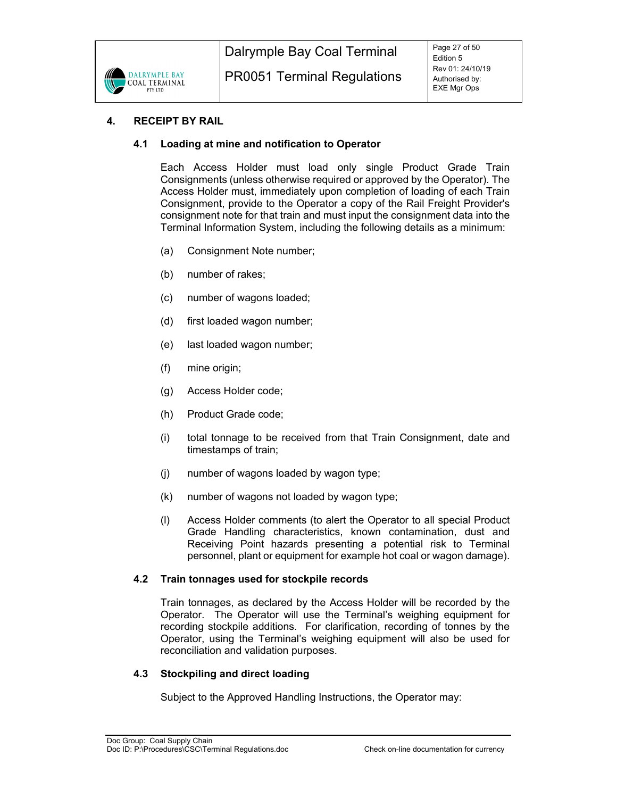

# **4. RECEIPT BY RAIL**

# **4.1 Loading at mine and notification to Operator**

Each Access Holder must load only single Product Grade Train Consignments (unless otherwise required or approved by the Operator). The Access Holder must, immediately upon completion of loading of each Train Consignment, provide to the Operator a copy of the Rail Freight Provider's consignment note for that train and must input the consignment data into the Terminal Information System, including the following details as a minimum:

- (a) Consignment Note number;
- (b) number of rakes;
- (c) number of wagons loaded;
- (d) first loaded wagon number;
- (e) last loaded wagon number;
- (f) mine origin;
- (g) Access Holder code;
- (h) Product Grade code;
- (i) total tonnage to be received from that Train Consignment, date and timestamps of train;
- (j) number of wagons loaded by wagon type;
- (k) number of wagons not loaded by wagon type;
- (l) Access Holder comments (to alert the Operator to all special Product Grade Handling characteristics, known contamination, dust and Receiving Point hazards presenting a potential risk to Terminal personnel, plant or equipment for example hot coal or wagon damage).

#### **4.2 Train tonnages used for stockpile records**

Train tonnages, as declared by the Access Holder will be recorded by the Operator. The Operator will use the Terminal's weighing equipment for recording stockpile additions. For clarification, recording of tonnes by the Operator, using the Terminal's weighing equipment will also be used for reconciliation and validation purposes.

#### **4.3 Stockpiling and direct loading**

Subject to the Approved Handling Instructions, the Operator may: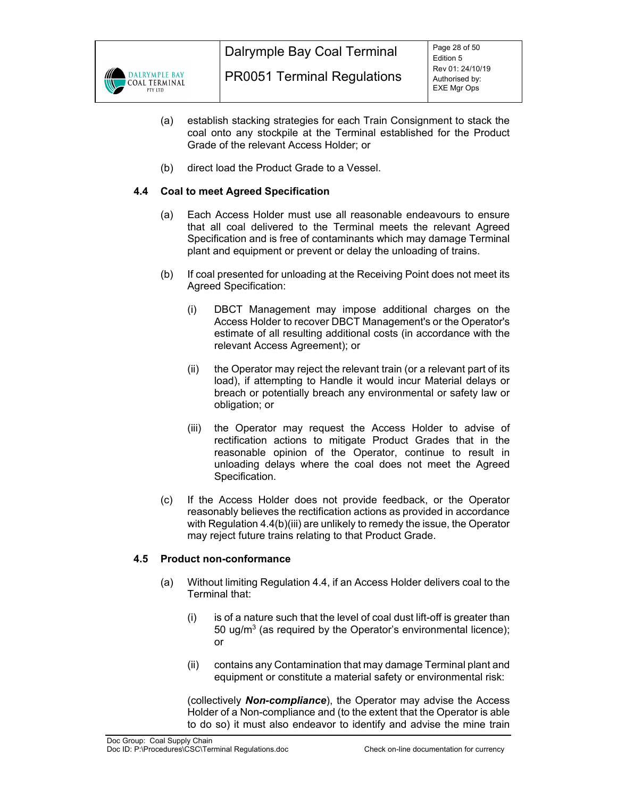

- (a) establish stacking strategies for each Train Consignment to stack the coal onto any stockpile at the Terminal established for the Product Grade of the relevant Access Holder; or
- (b) direct load the Product Grade to a Vessel.

# **4.4 Coal to meet Agreed Specification**

- (a) Each Access Holder must use all reasonable endeavours to ensure that all coal delivered to the Terminal meets the relevant Agreed Specification and is free of contaminants which may damage Terminal plant and equipment or prevent or delay the unloading of trains.
- (b) If coal presented for unloading at the Receiving Point does not meet its Agreed Specification:
	- (i) DBCT Management may impose additional charges on the Access Holder to recover DBCT Management's or the Operator's estimate of all resulting additional costs (in accordance with the relevant Access Agreement); or
	- (ii) the Operator may reject the relevant train (or a relevant part of its load), if attempting to Handle it would incur Material delays or breach or potentially breach any environmental or safety law or obligation; or
	- (iii) the Operator may request the Access Holder to advise of rectification actions to mitigate Product Grades that in the reasonable opinion of the Operator, continue to result in unloading delays where the coal does not meet the Agreed Specification.
- (c) If the Access Holder does not provide feedback, or the Operator reasonably believes the rectification actions as provided in accordance with Regulation 4.4(b)(iii) are unlikely to remedy the issue, the Operator may reject future trains relating to that Product Grade.

# **4.5 Product non-conformance**

- (a) Without limiting Regulation 4.4, if an Access Holder delivers coal to the Terminal that:
	- (i) is of a nature such that the level of coal dust lift-off is greater than 50 ug/m<sup>3</sup> (as required by the Operator's environmental licence); or
	- (ii) contains any Contamination that may damage Terminal plant and equipment or constitute a material safety or environmental risk:

(collectively *Non-compliance*), the Operator may advise the Access Holder of a Non-compliance and (to the extent that the Operator is able to do so) it must also endeavor to identify and advise the mine train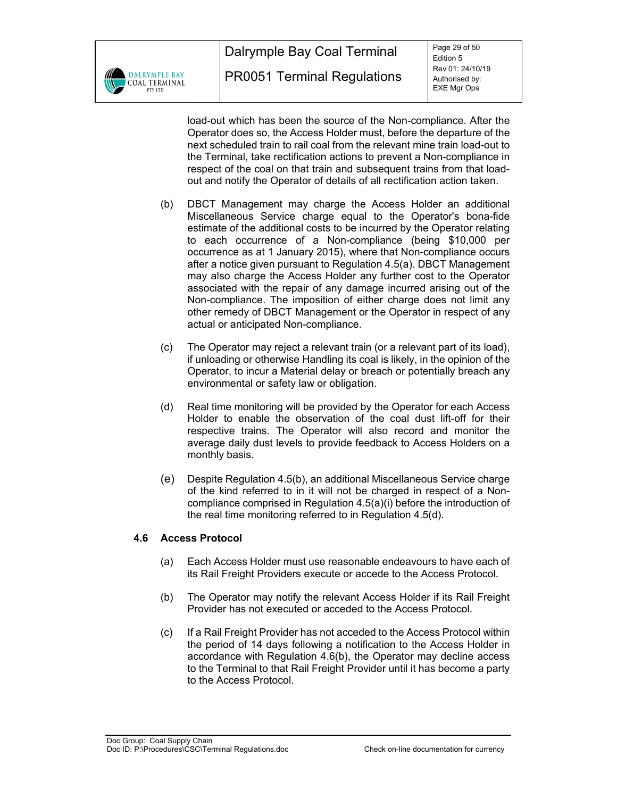

load-out which has been the source of the Non-compliance. After the Operator does so, the Access Holder must, before the departure of the next scheduled train to rail coal from the relevant mine train load-out to the Terminal, take rectification actions to prevent a Non-compliance in respect of the coal on that train and subsequent trains from that loadout and notify the Operator of details of all rectification action taken.

- (b) DBCT Management may charge the Access Holder an additional Miscellaneous Service charge equal to the Operator's bona-fide estimate of the additional costs to be incurred by the Operator relating to each occurrence of a Non-compliance (being \$10,000 per occurrence as at 1 January 2015), where that Non-compliance occurs after a notice given pursuant to Regulation 4.5(a). DBCT Management may also charge the Access Holder any further cost to the Operator associated with the repair of any damage incurred arising out of the Non-compliance. The imposition of either charge does not limit any other remedy of DBCT Management or the Operator in respect of any actual or anticipated Non-compliance.
- (c) The Operator may reject a relevant train (or a relevant part of its load), if unloading or otherwise Handling its coal is likely, in the opinion of the Operator, to incur a Material delay or breach or potentially breach any environmental or safety law or obligation.
- (d) Real time monitoring will be provided by the Operator for each Access Holder to enable the observation of the coal dust lift-off for their respective trains. The Operator will also record and monitor the average daily dust levels to provide feedback to Access Holders on a monthly basis.
- (e) Despite Regulation 4.5(b), an additional Miscellaneous Service charge of the kind referred to in it will not be charged in respect of a Noncompliance comprised in Regulation 4.5(a)(i) before the introduction of the real time monitoring referred to in Regulation 4.5(d).

# **4.6 Access Protocol**

- (a) Each Access Holder must use reasonable endeavours to have each of its Rail Freight Providers execute or accede to the Access Protocol.
- (b) The Operator may notify the relevant Access Holder if its Rail Freight Provider has not executed or acceded to the Access Protocol.
- (c) If a Rail Freight Provider has not acceded to the Access Protocol within the period of 14 days following a notification to the Access Holder in accordance with Regulation 4.6(b), the Operator may decline access to the Terminal to that Rail Freight Provider until it has become a party to the Access Protocol.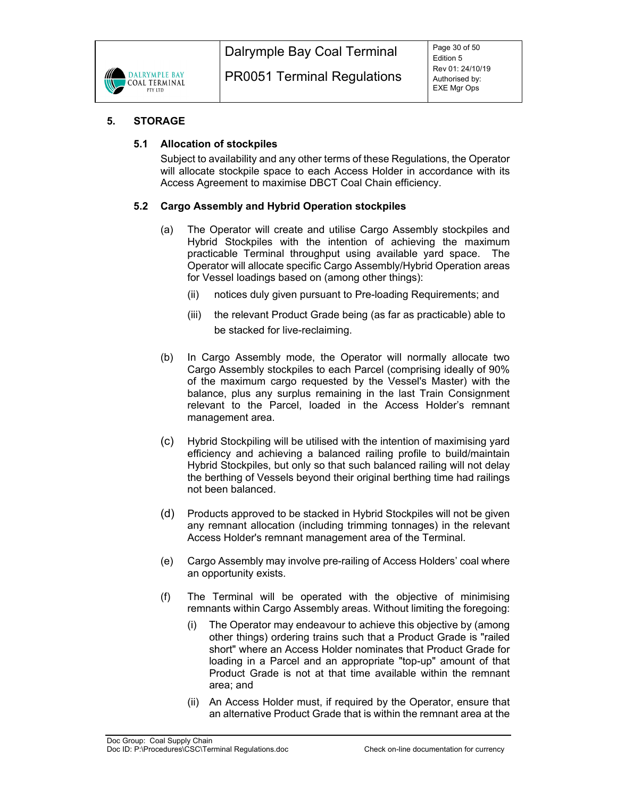

# **5. STORAGE**

# **5.1 Allocation of stockpiles**

Subject to availability and any other terms of these Regulations, the Operator will allocate stockpile space to each Access Holder in accordance with its Access Agreement to maximise DBCT Coal Chain efficiency.

# **5.2 Cargo Assembly and Hybrid Operation stockpiles**

- (a) The Operator will create and utilise Cargo Assembly stockpiles and Hybrid Stockpiles with the intention of achieving the maximum practicable Terminal throughput using available yard space. The Operator will allocate specific Cargo Assembly/Hybrid Operation areas for Vessel loadings based on (among other things):
	- (ii) notices duly given pursuant to Pre-loading Requirements; and
	- (iii) the relevant Product Grade being (as far as practicable) able to be stacked for live-reclaiming.
- (b) In Cargo Assembly mode, the Operator will normally allocate two Cargo Assembly stockpiles to each Parcel (comprising ideally of 90% of the maximum cargo requested by the Vessel's Master) with the balance, plus any surplus remaining in the last Train Consignment relevant to the Parcel, loaded in the Access Holder's remnant management area.
- (c) Hybrid Stockpiling will be utilised with the intention of maximising yard efficiency and achieving a balanced railing profile to build/maintain Hybrid Stockpiles, but only so that such balanced railing will not delay the berthing of Vessels beyond their original berthing time had railings not been balanced.
- (d) Products approved to be stacked in Hybrid Stockpiles will not be given any remnant allocation (including trimming tonnages) in the relevant Access Holder's remnant management area of the Terminal.
- (e) Cargo Assembly may involve pre-railing of Access Holders' coal where an opportunity exists.
- (f) The Terminal will be operated with the objective of minimising remnants within Cargo Assembly areas. Without limiting the foregoing:
	- (i) The Operator may endeavour to achieve this objective by (among other things) ordering trains such that a Product Grade is "railed short" where an Access Holder nominates that Product Grade for loading in a Parcel and an appropriate "top-up" amount of that Product Grade is not at that time available within the remnant area; and
	- (ii) An Access Holder must, if required by the Operator, ensure that an alternative Product Grade that is within the remnant area at the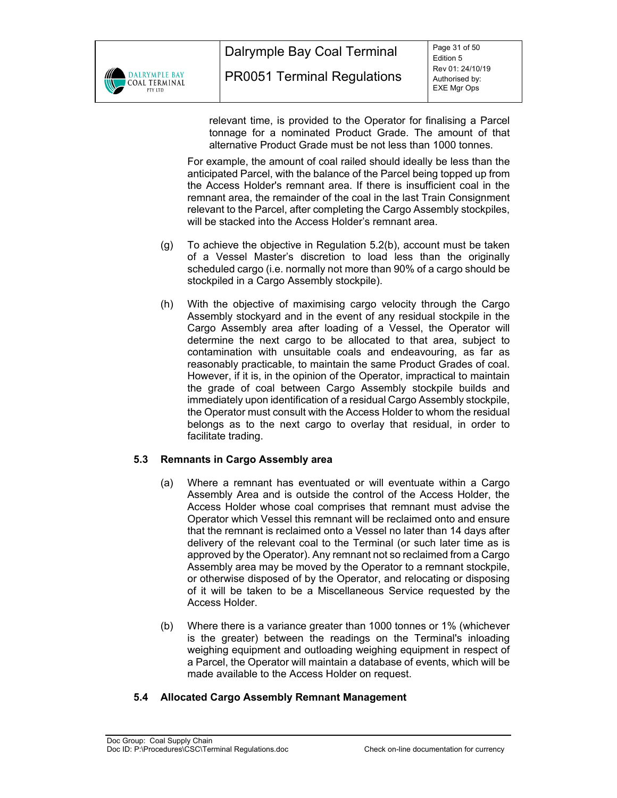

relevant time, is provided to the Operator for finalising a Parcel tonnage for a nominated Product Grade. The amount of that alternative Product Grade must be not less than 1000 tonnes.

For example, the amount of coal railed should ideally be less than the anticipated Parcel, with the balance of the Parcel being topped up from the Access Holder's remnant area. If there is insufficient coal in the remnant area, the remainder of the coal in the last Train Consignment relevant to the Parcel, after completing the Cargo Assembly stockpiles, will be stacked into the Access Holder's remnant area.

- (g) To achieve the objective in Regulation 5.2(b), account must be taken of a Vessel Master's discretion to load less than the originally scheduled cargo (i.e. normally not more than 90% of a cargo should be stockpiled in a Cargo Assembly stockpile).
- (h) With the objective of maximising cargo velocity through the Cargo Assembly stockyard and in the event of any residual stockpile in the Cargo Assembly area after loading of a Vessel, the Operator will determine the next cargo to be allocated to that area, subject to contamination with unsuitable coals and endeavouring, as far as reasonably practicable, to maintain the same Product Grades of coal. However, if it is, in the opinion of the Operator, impractical to maintain the grade of coal between Cargo Assembly stockpile builds and immediately upon identification of a residual Cargo Assembly stockpile, the Operator must consult with the Access Holder to whom the residual belongs as to the next cargo to overlay that residual, in order to facilitate trading.

# **5.3 Remnants in Cargo Assembly area**

- (a) Where a remnant has eventuated or will eventuate within a Cargo Assembly Area and is outside the control of the Access Holder, the Access Holder whose coal comprises that remnant must advise the Operator which Vessel this remnant will be reclaimed onto and ensure that the remnant is reclaimed onto a Vessel no later than 14 days after delivery of the relevant coal to the Terminal (or such later time as is approved by the Operator). Any remnant not so reclaimed from a Cargo Assembly area may be moved by the Operator to a remnant stockpile, or otherwise disposed of by the Operator, and relocating or disposing of it will be taken to be a Miscellaneous Service requested by the Access Holder.
- (b) Where there is a variance greater than 1000 tonnes or 1% (whichever is the greater) between the readings on the Terminal's inloading weighing equipment and outloading weighing equipment in respect of a Parcel, the Operator will maintain a database of events, which will be made available to the Access Holder on request.

# **5.4 Allocated Cargo Assembly Remnant Management**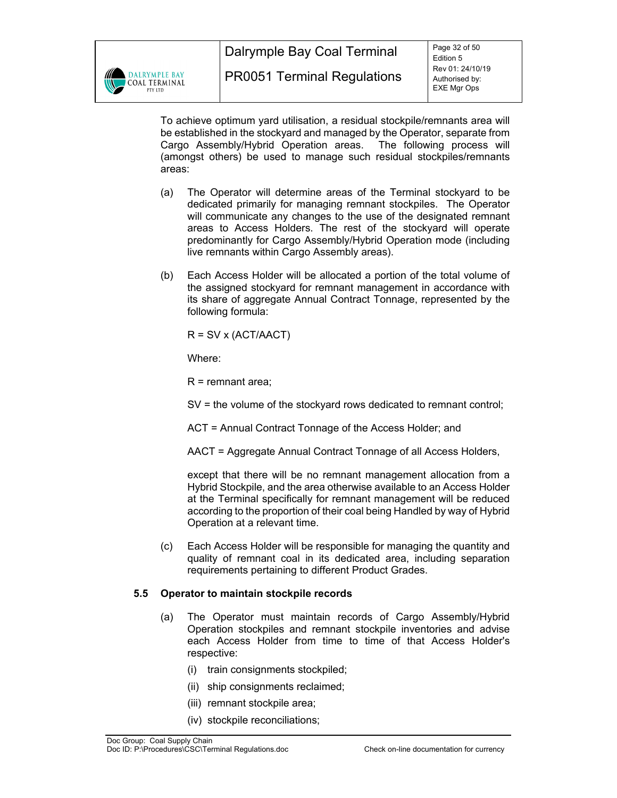

To achieve optimum yard utilisation, a residual stockpile/remnants area will be established in the stockyard and managed by the Operator, separate from Cargo Assembly/Hybrid Operation areas. The following process will (amongst others) be used to manage such residual stockpiles/remnants areas:

- (a) The Operator will determine areas of the Terminal stockyard to be dedicated primarily for managing remnant stockpiles. The Operator will communicate any changes to the use of the designated remnant areas to Access Holders. The rest of the stockyard will operate predominantly for Cargo Assembly/Hybrid Operation mode (including live remnants within Cargo Assembly areas).
- (b) Each Access Holder will be allocated a portion of the total volume of the assigned stockyard for remnant management in accordance with its share of aggregate Annual Contract Tonnage, represented by the following formula:

 $R = SV \times (ACT/AACT)$ 

Where:

 $R =$  remnant area;

SV = the volume of the stockyard rows dedicated to remnant control;

ACT = Annual Contract Tonnage of the Access Holder; and

AACT = Aggregate Annual Contract Tonnage of all Access Holders,

except that there will be no remnant management allocation from a Hybrid Stockpile, and the area otherwise available to an Access Holder at the Terminal specifically for remnant management will be reduced according to the proportion of their coal being Handled by way of Hybrid Operation at a relevant time.

(c) Each Access Holder will be responsible for managing the quantity and quality of remnant coal in its dedicated area, including separation requirements pertaining to different Product Grades.

# **5.5 Operator to maintain stockpile records**

- (a) The Operator must maintain records of Cargo Assembly/Hybrid Operation stockpiles and remnant stockpile inventories and advise each Access Holder from time to time of that Access Holder's respective:
	- (i) train consignments stockpiled;
	- (ii) ship consignments reclaimed;
	- (iii) remnant stockpile area;
	- (iv) stockpile reconciliations;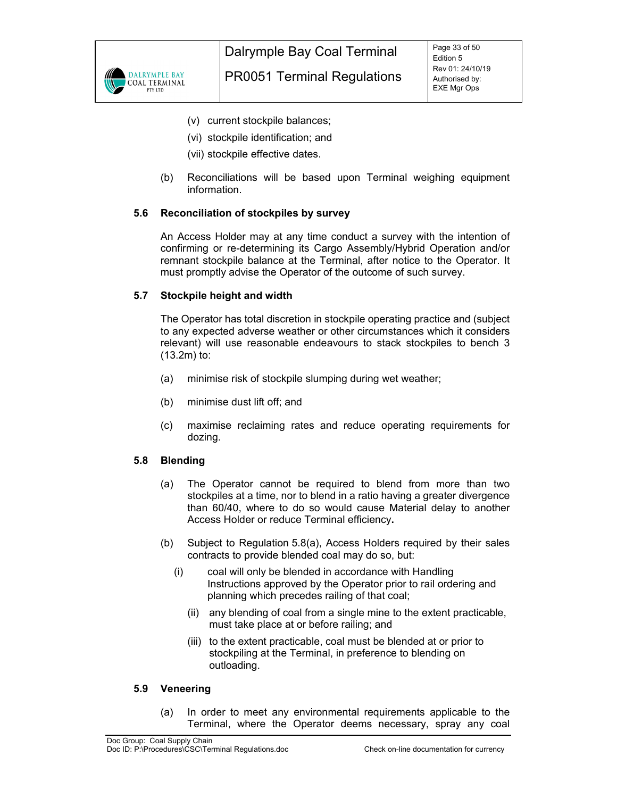

- (v) current stockpile balances;
- (vi) stockpile identification; and
- (vii) stockpile effective dates.
- (b) Reconciliations will be based upon Terminal weighing equipment information.

# **5.6 Reconciliation of stockpiles by survey**

An Access Holder may at any time conduct a survey with the intention of confirming or re-determining its Cargo Assembly/Hybrid Operation and/or remnant stockpile balance at the Terminal, after notice to the Operator. It must promptly advise the Operator of the outcome of such survey.

#### **5.7 Stockpile height and width**

The Operator has total discretion in stockpile operating practice and (subject to any expected adverse weather or other circumstances which it considers relevant) will use reasonable endeavours to stack stockpiles to bench 3 (13.2m) to:

- (a) minimise risk of stockpile slumping during wet weather;
- (b) minimise dust lift off; and
- (c) maximise reclaiming rates and reduce operating requirements for dozing.

# **5.8 Blending**

- (a) The Operator cannot be required to blend from more than two stockpiles at a time, nor to blend in a ratio having a greater divergence than 60/40, where to do so would cause Material delay to another Access Holder or reduce Terminal efficiency**.**
- (b) Subject to Regulation 5.8(a), Access Holders required by their sales contracts to provide blended coal may do so, but:
	- (i) coal will only be blended in accordance with Handling Instructions approved by the Operator prior to rail ordering and planning which precedes railing of that coal;
		- (ii) any blending of coal from a single mine to the extent practicable, must take place at or before railing; and
		- (iii) to the extent practicable, coal must be blended at or prior to stockpiling at the Terminal, in preference to blending on outloading.

#### **5.9 Veneering**

(a) In order to meet any environmental requirements applicable to the Terminal, where the Operator deems necessary, spray any coal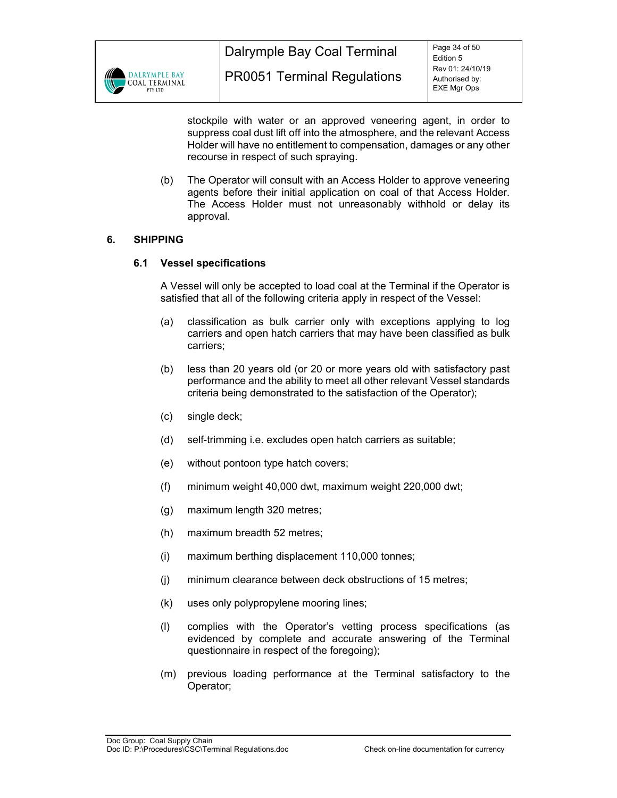

Dalrymple Bay Coal Terminal

stockpile with water or an approved veneering agent, in order to suppress coal dust lift off into the atmosphere, and the relevant Access Holder will have no entitlement to compensation, damages or any other recourse in respect of such spraying.

(b) The Operator will consult with an Access Holder to approve veneering agents before their initial application on coal of that Access Holder. The Access Holder must not unreasonably withhold or delay its approval.

# **6. SHIPPING**

# **6.1 Vessel specifications**

A Vessel will only be accepted to load coal at the Terminal if the Operator is satisfied that all of the following criteria apply in respect of the Vessel:

- (a) classification as bulk carrier only with exceptions applying to log carriers and open hatch carriers that may have been classified as bulk carriers;
- (b) less than 20 years old (or 20 or more years old with satisfactory past performance and the ability to meet all other relevant Vessel standards criteria being demonstrated to the satisfaction of the Operator);
- (c) single deck;
- (d) self-trimming i.e. excludes open hatch carriers as suitable;
- (e) without pontoon type hatch covers;
- (f) minimum weight 40,000 dwt, maximum weight 220,000 dwt;
- (g) maximum length 320 metres;
- (h) maximum breadth 52 metres;
- (i) maximum berthing displacement 110,000 tonnes;
- (j) minimum clearance between deck obstructions of 15 metres;
- (k) uses only polypropylene mooring lines;
- (l) complies with the Operator's vetting process specifications (as evidenced by complete and accurate answering of the Terminal questionnaire in respect of the foregoing);
- (m) previous loading performance at the Terminal satisfactory to the Operator;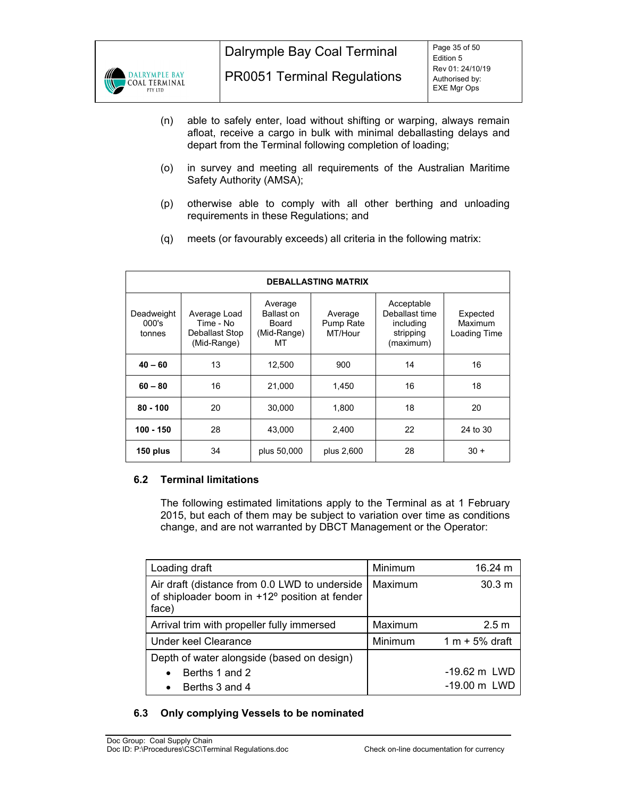

- (n) able to safely enter, load without shifting or warping, always remain afloat, receive a cargo in bulk with minimal deballasting delays and depart from the Terminal following completion of loading;
- (o) in survey and meeting all requirements of the Australian Maritime Safety Authority (AMSA);
- (p) otherwise able to comply with all other berthing and unloading requirements in these Regulations; and
- (q) meets (or favourably exceeds) all criteria in the following matrix:

| <b>DEBALLASTING MATRIX</b>                  |                                                            |                                                     |                                 |                                                                     |                                     |  |  |  |
|---------------------------------------------|------------------------------------------------------------|-----------------------------------------------------|---------------------------------|---------------------------------------------------------------------|-------------------------------------|--|--|--|
| Deadweight<br>000's<br>tonnes               | Average Load<br>Time - No<br>Deballast Stop<br>(Mid-Range) | Average<br>Ballast on<br>Board<br>(Mid-Range)<br>МT | Average<br>Pump Rate<br>MT/Hour | Acceptable<br>Deballast time<br>including<br>stripping<br>(maximum) | Expected<br>Maximum<br>Loading Time |  |  |  |
| $40 - 60$                                   | 13                                                         | 12,500                                              | 900                             | 14                                                                  | 16                                  |  |  |  |
| 16<br>$60 - 80$<br>21,000                   |                                                            | 1,450                                               | 16                              | 18                                                                  |                                     |  |  |  |
| $80 - 100$                                  | 20                                                         | 30.000                                              | 1.800                           | 18                                                                  | 20                                  |  |  |  |
| 100 - 150                                   | 28                                                         | 43.000                                              | 2,400                           | 22                                                                  | 24 to 30                            |  |  |  |
| 34<br>150 plus<br>plus 50,000<br>plus 2,600 |                                                            | 28                                                  | $30 +$                          |                                                                     |                                     |  |  |  |

# **6.2 Terminal limitations**

The following estimated limitations apply to the Terminal as at 1 February 2015, but each of them may be subject to variation over time as conditions change, and are not warranted by DBCT Management or the Operator:

| Loading draft                                                                                           | Minimum | 16.24 m                |
|---------------------------------------------------------------------------------------------------------|---------|------------------------|
| Air draft (distance from 0.0 LWD to underside<br>of shiploader boom in +12° position at fender<br>face) | Maximum | 30.3 m                 |
| Arrival trim with propeller fully immersed                                                              | Maximum | 2.5 <sub>m</sub>       |
| Under keel Clearance                                                                                    | Minimum | $1 m + 5%$ draft       |
| Depth of water alongside (based on design)                                                              |         |                        |
| Berths 1 and 2<br>$\bullet$                                                                             |         | $-19.62 \text{ m}$ LWD |
| Berths 3 and 4<br>$\bullet$                                                                             |         | -19.00 m LWD           |

# **6.3 Only complying Vessels to be nominated**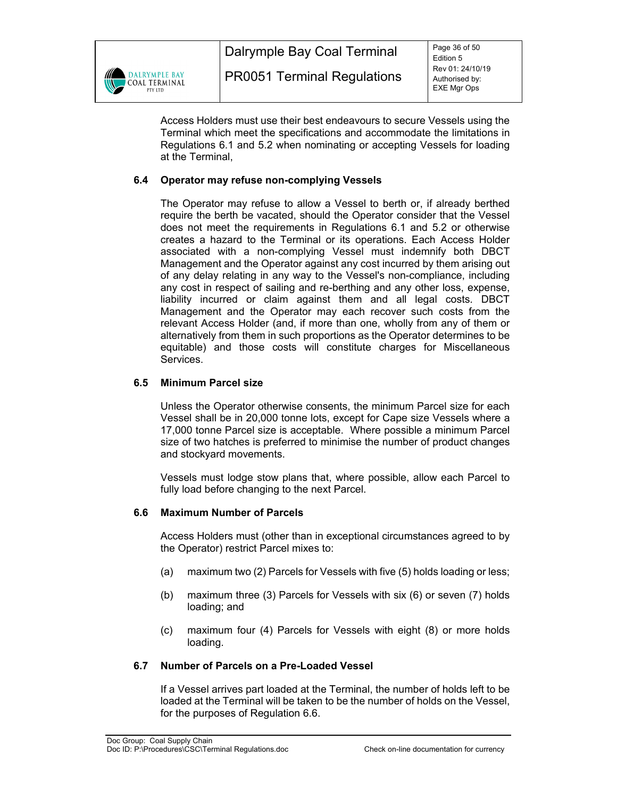

Access Holders must use their best endeavours to secure Vessels using the Terminal which meet the specifications and accommodate the limitations in Regulations 6.1 and 5.2 when nominating or accepting Vessels for loading at the Terminal,

# **6.4 Operator may refuse non-complying Vessels**

The Operator may refuse to allow a Vessel to berth or, if already berthed require the berth be vacated, should the Operator consider that the Vessel does not meet the requirements in Regulations 6.1 and 5.2 or otherwise creates a hazard to the Terminal or its operations. Each Access Holder associated with a non-complying Vessel must indemnify both DBCT Management and the Operator against any cost incurred by them arising out of any delay relating in any way to the Vessel's non-compliance, including any cost in respect of sailing and re-berthing and any other loss, expense, liability incurred or claim against them and all legal costs. DBCT Management and the Operator may each recover such costs from the relevant Access Holder (and, if more than one, wholly from any of them or alternatively from them in such proportions as the Operator determines to be equitable) and those costs will constitute charges for Miscellaneous Services.

# **6.5 Minimum Parcel size**

Unless the Operator otherwise consents, the minimum Parcel size for each Vessel shall be in 20,000 tonne lots, except for Cape size Vessels where a 17,000 tonne Parcel size is acceptable. Where possible a minimum Parcel size of two hatches is preferred to minimise the number of product changes and stockyard movements.

Vessels must lodge stow plans that, where possible, allow each Parcel to fully load before changing to the next Parcel.

# **6.6 Maximum Number of Parcels**

Access Holders must (other than in exceptional circumstances agreed to by the Operator) restrict Parcel mixes to:

- (a) maximum two (2) Parcels for Vessels with five (5) holds loading or less;
- (b) maximum three (3) Parcels for Vessels with six (6) or seven (7) holds loading; and
- (c) maximum four (4) Parcels for Vessels with eight (8) or more holds loading.

# **6.7 Number of Parcels on a Pre-Loaded Vessel**

If a Vessel arrives part loaded at the Terminal, the number of holds left to be loaded at the Terminal will be taken to be the number of holds on the Vessel, for the purposes of Regulation 6.6.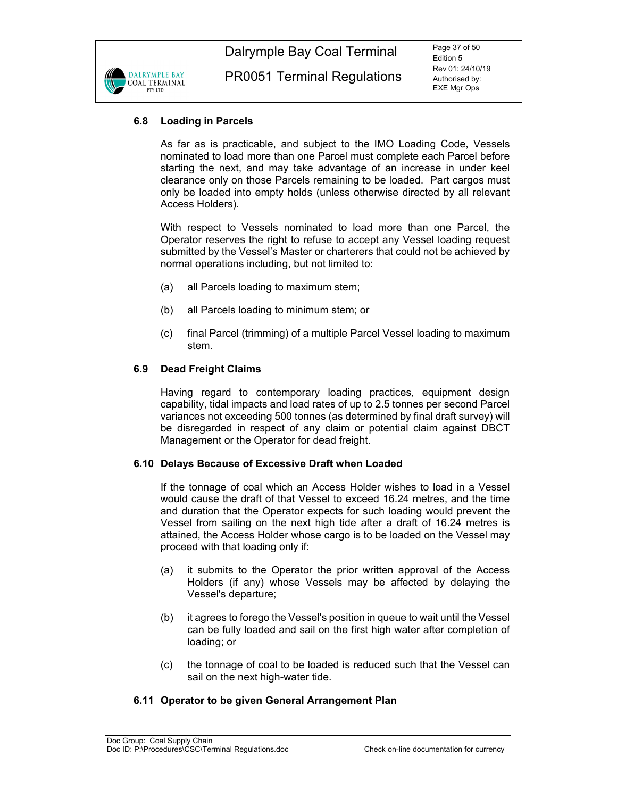

# **6.8 Loading in Parcels**

As far as is practicable, and subject to the IMO Loading Code, Vessels nominated to load more than one Parcel must complete each Parcel before starting the next, and may take advantage of an increase in under keel clearance only on those Parcels remaining to be loaded. Part cargos must only be loaded into empty holds (unless otherwise directed by all relevant Access Holders).

With respect to Vessels nominated to load more than one Parcel, the Operator reserves the right to refuse to accept any Vessel loading request submitted by the Vessel's Master or charterers that could not be achieved by normal operations including, but not limited to:

- (a) all Parcels loading to maximum stem;
- (b) all Parcels loading to minimum stem; or
- (c) final Parcel (trimming) of a multiple Parcel Vessel loading to maximum stem.

# **6.9 Dead Freight Claims**

Having regard to contemporary loading practices, equipment design capability, tidal impacts and load rates of up to 2.5 tonnes per second Parcel variances not exceeding 500 tonnes (as determined by final draft survey) will be disregarded in respect of any claim or potential claim against DBCT Management or the Operator for dead freight.

#### **6.10 Delays Because of Excessive Draft when Loaded**

If the tonnage of coal which an Access Holder wishes to load in a Vessel would cause the draft of that Vessel to exceed 16.24 metres, and the time and duration that the Operator expects for such loading would prevent the Vessel from sailing on the next high tide after a draft of 16.24 metres is attained, the Access Holder whose cargo is to be loaded on the Vessel may proceed with that loading only if:

- (a) it submits to the Operator the prior written approval of the Access Holders (if any) whose Vessels may be affected by delaying the Vessel's departure;
- (b) it agrees to forego the Vessel's position in queue to wait until the Vessel can be fully loaded and sail on the first high water after completion of loading; or
- (c) the tonnage of coal to be loaded is reduced such that the Vessel can sail on the next high-water tide.

# **6.11 Operator to be given General Arrangement Plan**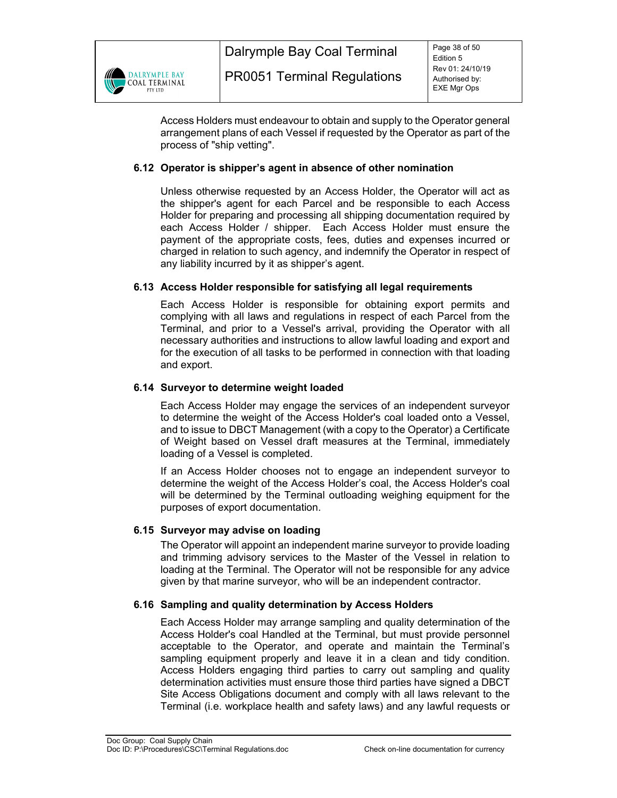

Access Holders must endeavour to obtain and supply to the Operator general arrangement plans of each Vessel if requested by the Operator as part of the process of "ship vetting".

# **6.12 Operator is shipper's agent in absence of other nomination**

Unless otherwise requested by an Access Holder, the Operator will act as the shipper's agent for each Parcel and be responsible to each Access Holder for preparing and processing all shipping documentation required by each Access Holder / shipper. Each Access Holder must ensure the payment of the appropriate costs, fees, duties and expenses incurred or charged in relation to such agency, and indemnify the Operator in respect of any liability incurred by it as shipper's agent.

# **6.13 Access Holder responsible for satisfying all legal requirements**

Each Access Holder is responsible for obtaining export permits and complying with all laws and regulations in respect of each Parcel from the Terminal, and prior to a Vessel's arrival, providing the Operator with all necessary authorities and instructions to allow lawful loading and export and for the execution of all tasks to be performed in connection with that loading and export.

# **6.14 Surveyor to determine weight loaded**

Each Access Holder may engage the services of an independent surveyor to determine the weight of the Access Holder's coal loaded onto a Vessel, and to issue to DBCT Management (with a copy to the Operator) a Certificate of Weight based on Vessel draft measures at the Terminal, immediately loading of a Vessel is completed.

If an Access Holder chooses not to engage an independent surveyor to determine the weight of the Access Holder's coal, the Access Holder's coal will be determined by the Terminal outloading weighing equipment for the purposes of export documentation.

# **6.15 Surveyor may advise on loading**

The Operator will appoint an independent marine surveyor to provide loading and trimming advisory services to the Master of the Vessel in relation to loading at the Terminal. The Operator will not be responsible for any advice given by that marine surveyor, who will be an independent contractor.

# **6.16 Sampling and quality determination by Access Holders**

Each Access Holder may arrange sampling and quality determination of the Access Holder's coal Handled at the Terminal, but must provide personnel acceptable to the Operator, and operate and maintain the Terminal's sampling equipment properly and leave it in a clean and tidy condition. Access Holders engaging third parties to carry out sampling and quality determination activities must ensure those third parties have signed a DBCT Site Access Obligations document and comply with all laws relevant to the Terminal (i.e. workplace health and safety laws) and any lawful requests or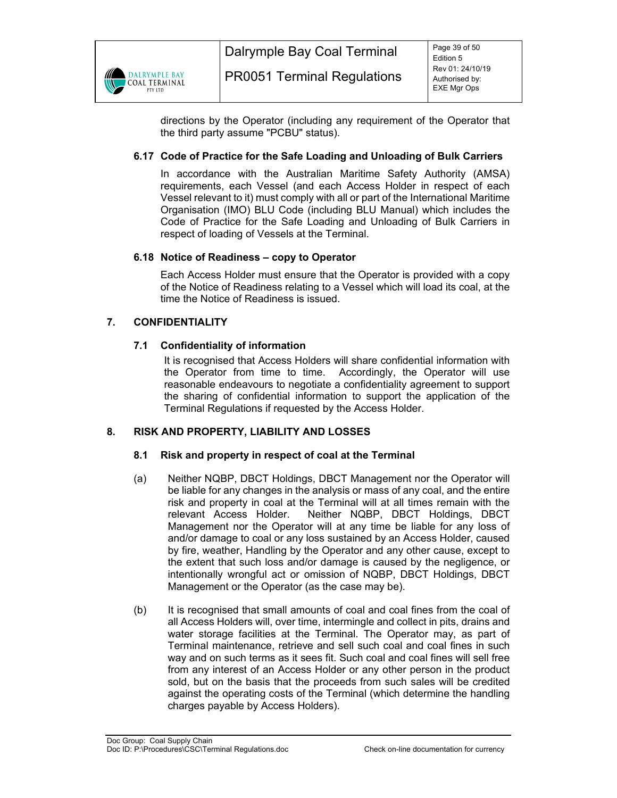

directions by the Operator (including any requirement of the Operator that the third party assume "PCBU" status).

# **6.17 Code of Practice for the Safe Loading and Unloading of Bulk Carriers**

In accordance with the Australian Maritime Safety Authority (AMSA) requirements, each Vessel (and each Access Holder in respect of each Vessel relevant to it) must comply with all or part of the International Maritime Organisation (IMO) BLU Code (including BLU Manual) which includes the Code of Practice for the Safe Loading and Unloading of Bulk Carriers in respect of loading of Vessels at the Terminal.

# **6.18 Notice of Readiness – copy to Operator**

Each Access Holder must ensure that the Operator is provided with a copy of the Notice of Readiness relating to a Vessel which will load its coal, at the time the Notice of Readiness is issued.

# **7. CONFIDENTIALITY**

# **7.1 Confidentiality of information**

It is recognised that Access Holders will share confidential information with the Operator from time to time. Accordingly, the Operator will use reasonable endeavours to negotiate a confidentiality agreement to support the sharing of confidential information to support the application of the Terminal Regulations if requested by the Access Holder.

# **8. RISK AND PROPERTY, LIABILITY AND LOSSES**

# **8.1 Risk and property in respect of coal at the Terminal**

- (a) Neither NQBP, DBCT Holdings, DBCT Management nor the Operator will be liable for any changes in the analysis or mass of any coal, and the entire risk and property in coal at the Terminal will at all times remain with the relevant Access Holder. Neither NQBP, DBCT Holdings, DBCT Management nor the Operator will at any time be liable for any loss of and/or damage to coal or any loss sustained by an Access Holder, caused by fire, weather, Handling by the Operator and any other cause, except to the extent that such loss and/or damage is caused by the negligence, or intentionally wrongful act or omission of NQBP, DBCT Holdings, DBCT Management or the Operator (as the case may be).
- (b) It is recognised that small amounts of coal and coal fines from the coal of all Access Holders will, over time, intermingle and collect in pits, drains and water storage facilities at the Terminal. The Operator may, as part of Terminal maintenance, retrieve and sell such coal and coal fines in such way and on such terms as it sees fit. Such coal and coal fines will sell free from any interest of an Access Holder or any other person in the product sold, but on the basis that the proceeds from such sales will be credited against the operating costs of the Terminal (which determine the handling charges payable by Access Holders).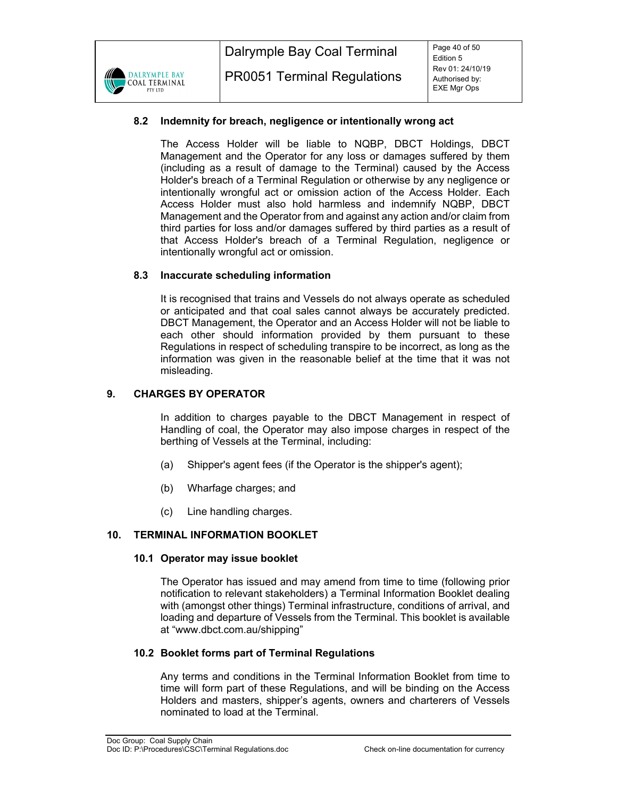# **8.2 Indemnity for breach, negligence or intentionally wrong act**

The Access Holder will be liable to NQBP, DBCT Holdings, DBCT Management and the Operator for any loss or damages suffered by them (including as a result of damage to the Terminal) caused by the Access Holder's breach of a Terminal Regulation or otherwise by any negligence or intentionally wrongful act or omission action of the Access Holder. Each Access Holder must also hold harmless and indemnify NQBP, DBCT Management and the Operator from and against any action and/or claim from third parties for loss and/or damages suffered by third parties as a result of that Access Holder's breach of a Terminal Regulation, negligence or intentionally wrongful act or omission.

# **8.3 Inaccurate scheduling information**

It is recognised that trains and Vessels do not always operate as scheduled or anticipated and that coal sales cannot always be accurately predicted. DBCT Management, the Operator and an Access Holder will not be liable to each other should information provided by them pursuant to these Regulations in respect of scheduling transpire to be incorrect, as long as the information was given in the reasonable belief at the time that it was not misleading.

# **9. CHARGES BY OPERATOR**

In addition to charges payable to the DBCT Management in respect of Handling of coal, the Operator may also impose charges in respect of the berthing of Vessels at the Terminal, including:

- (a) Shipper's agent fees (if the Operator is the shipper's agent);
- (b) Wharfage charges; and
- (c) Line handling charges.

# **10. TERMINAL INFORMATION BOOKLET**

#### **10.1 Operator may issue booklet**

The Operator has issued and may amend from time to time (following prior notification to relevant stakeholders) a Terminal Information Booklet dealing with (amongst other things) Terminal infrastructure, conditions of arrival, and loading and departure of Vessels from the Terminal. This booklet is available at "www.dbct.com.au/shipping"

# **10.2 Booklet forms part of Terminal Regulations**

Any terms and conditions in the Terminal Information Booklet from time to time will form part of these Regulations, and will be binding on the Access Holders and masters, shipper's agents, owners and charterers of Vessels nominated to load at the Terminal.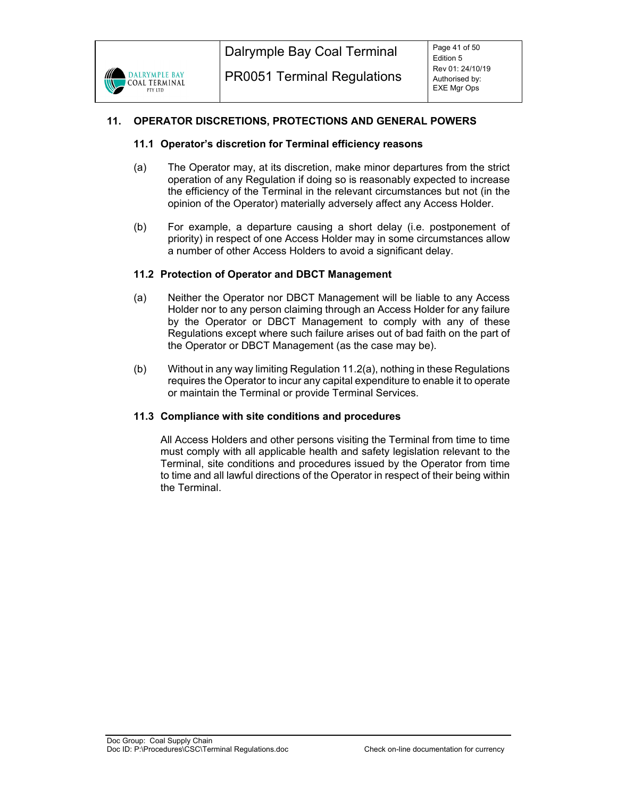

# **11. OPERATOR DISCRETIONS, PROTECTIONS AND GENERAL POWERS**

#### **11.1 Operator's discretion for Terminal efficiency reasons**

- (a) The Operator may, at its discretion, make minor departures from the strict operation of any Regulation if doing so is reasonably expected to increase the efficiency of the Terminal in the relevant circumstances but not (in the opinion of the Operator) materially adversely affect any Access Holder.
- (b) For example, a departure causing a short delay (i.e. postponement of priority) in respect of one Access Holder may in some circumstances allow a number of other Access Holders to avoid a significant delay.

# **11.2 Protection of Operator and DBCT Management**

- (a) Neither the Operator nor DBCT Management will be liable to any Access Holder nor to any person claiming through an Access Holder for any failure by the Operator or DBCT Management to comply with any of these Regulations except where such failure arises out of bad faith on the part of the Operator or DBCT Management (as the case may be).
- (b) Without in any way limiting Regulation 11.2(a), nothing in these Regulations requires the Operator to incur any capital expenditure to enable it to operate or maintain the Terminal or provide Terminal Services.

#### **11.3 Compliance with site conditions and procedures**

All Access Holders and other persons visiting the Terminal from time to time must comply with all applicable health and safety legislation relevant to the Terminal, site conditions and procedures issued by the Operator from time to time and all lawful directions of the Operator in respect of their being within the Terminal.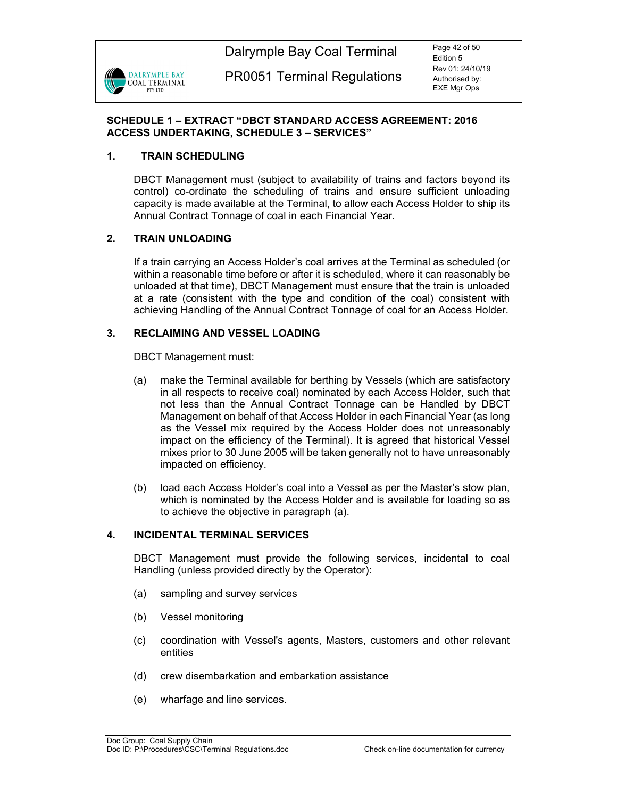

# **SCHEDULE 1 – EXTRACT "DBCT STANDARD ACCESS AGREEMENT: 2016 ACCESS UNDERTAKING, SCHEDULE 3 – SERVICES"**

# **1. TRAIN SCHEDULING**

DBCT Management must (subject to availability of trains and factors beyond its control) co-ordinate the scheduling of trains and ensure sufficient unloading capacity is made available at the Terminal, to allow each Access Holder to ship its Annual Contract Tonnage of coal in each Financial Year.

# **2. TRAIN UNLOADING**

If a train carrying an Access Holder's coal arrives at the Terminal as scheduled (or within a reasonable time before or after it is scheduled, where it can reasonably be unloaded at that time), DBCT Management must ensure that the train is unloaded at a rate (consistent with the type and condition of the coal) consistent with achieving Handling of the Annual Contract Tonnage of coal for an Access Holder.

# **3. RECLAIMING AND VESSEL LOADING**

DBCT Management must:

- (a) make the Terminal available for berthing by Vessels (which are satisfactory in all respects to receive coal) nominated by each Access Holder, such that not less than the Annual Contract Tonnage can be Handled by DBCT Management on behalf of that Access Holder in each Financial Year (as long as the Vessel mix required by the Access Holder does not unreasonably impact on the efficiency of the Terminal). It is agreed that historical Vessel mixes prior to 30 June 2005 will be taken generally not to have unreasonably impacted on efficiency.
- (b) load each Access Holder's coal into a Vessel as per the Master's stow plan, which is nominated by the Access Holder and is available for loading so as to achieve the objective in paragraph (a).

# **4. INCIDENTAL TERMINAL SERVICES**

DBCT Management must provide the following services, incidental to coal Handling (unless provided directly by the Operator):

- (a) sampling and survey services
- (b) Vessel monitoring
- (c) coordination with Vessel's agents, Masters, customers and other relevant entities
- (d) crew disembarkation and embarkation assistance
- (e) wharfage and line services.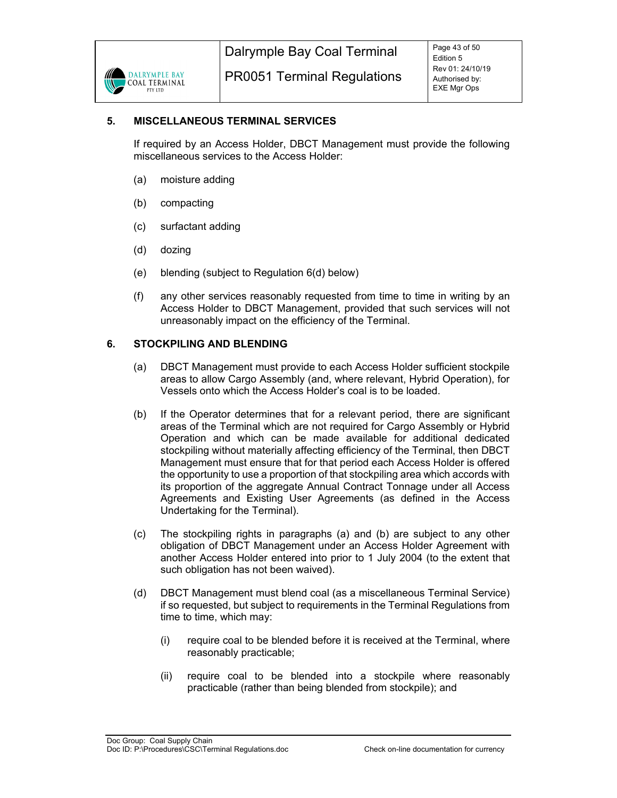# **5. MISCELLANEOUS TERMINAL SERVICES**

If required by an Access Holder, DBCT Management must provide the following miscellaneous services to the Access Holder:

- (a) moisture adding
- (b) compacting
- (c) surfactant adding
- (d) dozing
- (e) blending (subject to Regulation 6(d) below)
- (f) any other services reasonably requested from time to time in writing by an Access Holder to DBCT Management, provided that such services will not unreasonably impact on the efficiency of the Terminal.

# **6. STOCKPILING AND BLENDING**

- (a) DBCT Management must provide to each Access Holder sufficient stockpile areas to allow Cargo Assembly (and, where relevant, Hybrid Operation), for Vessels onto which the Access Holder's coal is to be loaded.
- (b) If the Operator determines that for a relevant period, there are significant areas of the Terminal which are not required for Cargo Assembly or Hybrid Operation and which can be made available for additional dedicated stockpiling without materially affecting efficiency of the Terminal, then DBCT Management must ensure that for that period each Access Holder is offered the opportunity to use a proportion of that stockpiling area which accords with its proportion of the aggregate Annual Contract Tonnage under all Access Agreements and Existing User Agreements (as defined in the Access Undertaking for the Terminal).
- (c) The stockpiling rights in paragraphs (a) and (b) are subject to any other obligation of DBCT Management under an Access Holder Agreement with another Access Holder entered into prior to 1 July 2004 (to the extent that such obligation has not been waived).
- (d) DBCT Management must blend coal (as a miscellaneous Terminal Service) if so requested, but subject to requirements in the Terminal Regulations from time to time, which may:
	- (i) require coal to be blended before it is received at the Terminal, where reasonably practicable;
	- (ii) require coal to be blended into a stockpile where reasonably practicable (rather than being blended from stockpile); and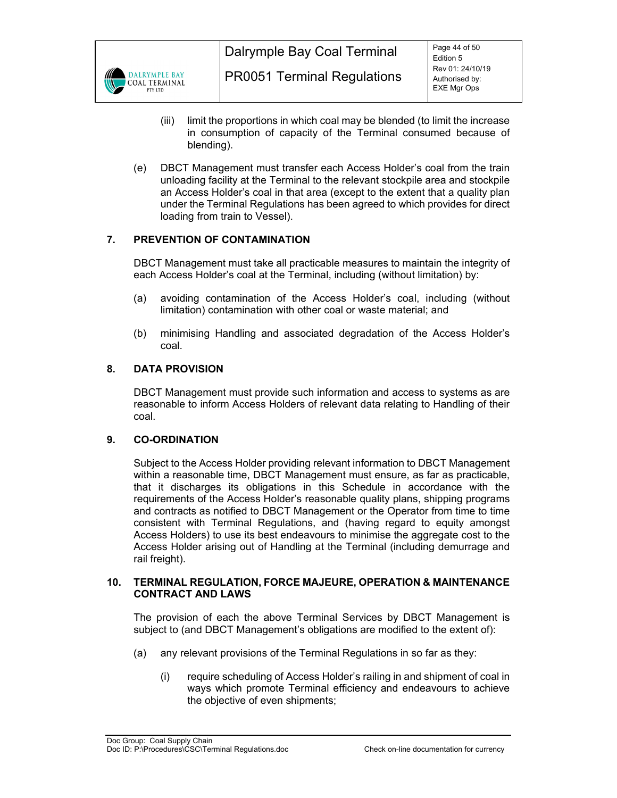

- (iii) limit the proportions in which coal may be blended (to limit the increase in consumption of capacity of the Terminal consumed because of blending).
- (e) DBCT Management must transfer each Access Holder's coal from the train unloading facility at the Terminal to the relevant stockpile area and stockpile an Access Holder's coal in that area (except to the extent that a quality plan under the Terminal Regulations has been agreed to which provides for direct loading from train to Vessel).

# **7. PREVENTION OF CONTAMINATION**

DBCT Management must take all practicable measures to maintain the integrity of each Access Holder's coal at the Terminal, including (without limitation) by:

- (a) avoiding contamination of the Access Holder's coal, including (without limitation) contamination with other coal or waste material; and
- (b) minimising Handling and associated degradation of the Access Holder's coal.

# **8. DATA PROVISION**

DBCT Management must provide such information and access to systems as are reasonable to inform Access Holders of relevant data relating to Handling of their coal.

# **9. CO-ORDINATION**

Subject to the Access Holder providing relevant information to DBCT Management within a reasonable time, DBCT Management must ensure, as far as practicable, that it discharges its obligations in this Schedule in accordance with the requirements of the Access Holder's reasonable quality plans, shipping programs and contracts as notified to DBCT Management or the Operator from time to time consistent with Terminal Regulations, and (having regard to equity amongst Access Holders) to use its best endeavours to minimise the aggregate cost to the Access Holder arising out of Handling at the Terminal (including demurrage and rail freight).

#### **10. TERMINAL REGULATION, FORCE MAJEURE, OPERATION & MAINTENANCE CONTRACT AND LAWS**

The provision of each the above Terminal Services by DBCT Management is subject to (and DBCT Management's obligations are modified to the extent of):

- (a) any relevant provisions of the Terminal Regulations in so far as they:
	- (i) require scheduling of Access Holder's railing in and shipment of coal in ways which promote Terminal efficiency and endeavours to achieve the objective of even shipments;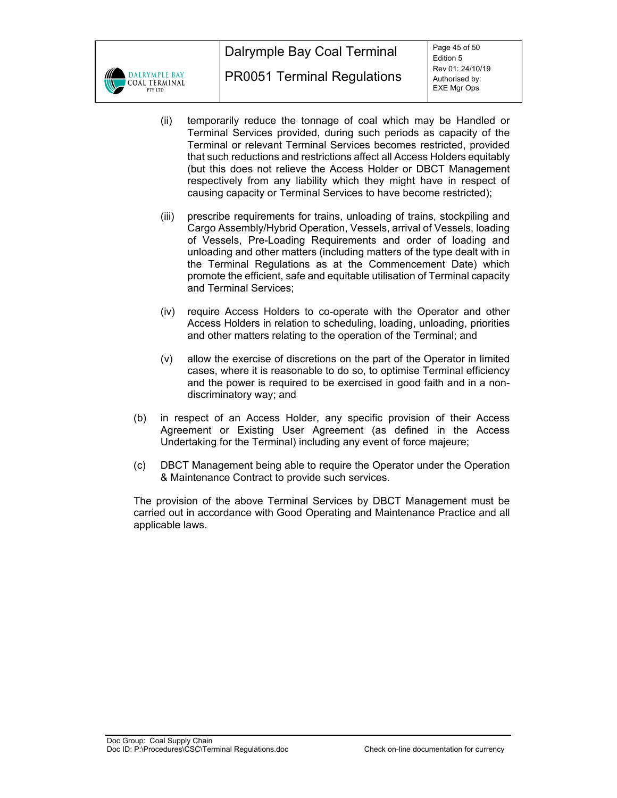

- (ii) temporarily reduce the tonnage of coal which may be Handled or Terminal Services provided, during such periods as capacity of the Terminal or relevant Terminal Services becomes restricted, provided that such reductions and restrictions affect all Access Holders equitably (but this does not relieve the Access Holder or DBCT Management respectively from any liability which they might have in respect of causing capacity or Terminal Services to have become restricted);
- (iii) prescribe requirements for trains, unloading of trains, stockpiling and Cargo Assembly/Hybrid Operation, Vessels, arrival of Vessels, loading of Vessels, Pre-Loading Requirements and order of loading and unloading and other matters (including matters of the type dealt with in the Terminal Regulations as at the Commencement Date) which promote the efficient, safe and equitable utilisation of Terminal capacity and Terminal Services;
- (iv) require Access Holders to co-operate with the Operator and other Access Holders in relation to scheduling, loading, unloading, priorities and other matters relating to the operation of the Terminal; and
- (v) allow the exercise of discretions on the part of the Operator in limited cases, where it is reasonable to do so, to optimise Terminal efficiency and the power is required to be exercised in good faith and in a nondiscriminatory way; and
- (b) in respect of an Access Holder, any specific provision of their Access Agreement or Existing User Agreement (as defined in the Access Undertaking for the Terminal) including any event of force majeure;
- (c) DBCT Management being able to require the Operator under the Operation & Maintenance Contract to provide such services.

The provision of the above Terminal Services by DBCT Management must be carried out in accordance with Good Operating and Maintenance Practice and all applicable laws.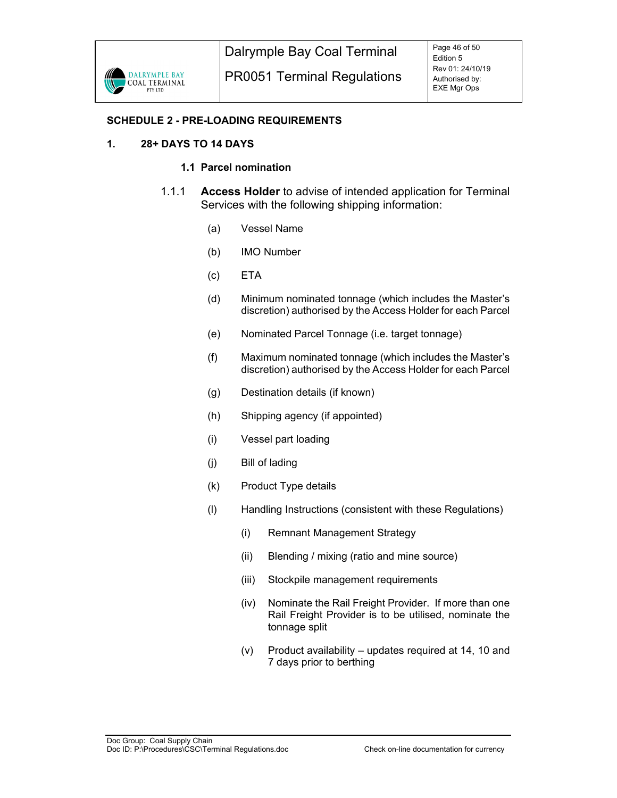# **SCHEDULE 2 - PRE-LOADING REQUIREMENTS**

# **1. 28+ DAYS TO 14 DAYS**

# **1.1 Parcel nomination**

- 1.1.1 **Access Holder** to advise of intended application for Terminal Services with the following shipping information:
	- (a) Vessel Name
	- (b) IMO Number
	- (c) ETA
	- (d) Minimum nominated tonnage (which includes the Master's discretion) authorised by the Access Holder for each Parcel
	- (e) Nominated Parcel Tonnage (i.e. target tonnage)
	- (f) Maximum nominated tonnage (which includes the Master's discretion) authorised by the Access Holder for each Parcel
	- (g) Destination details (if known)
	- (h) Shipping agency (if appointed)
	- (i) Vessel part loading
	- (j) Bill of lading
	- (k) Product Type details
	- (l) Handling Instructions (consistent with these Regulations)
		- (i) Remnant Management Strategy
		- (ii) Blending / mixing (ratio and mine source)
		- (iii) Stockpile management requirements
		- (iv) Nominate the Rail Freight Provider. If more than one Rail Freight Provider is to be utilised, nominate the tonnage split
		- (v) Product availability updates required at 14, 10 and 7 days prior to berthing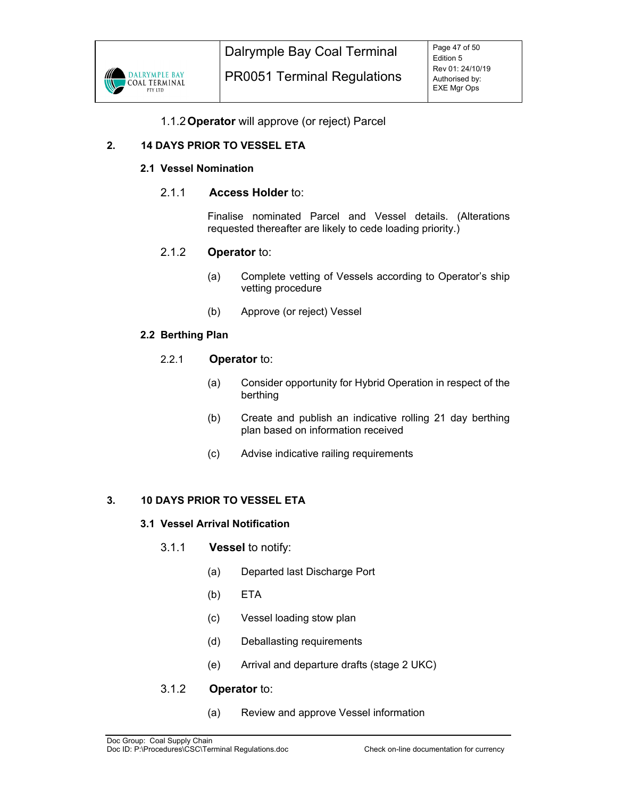

# 1.1.2 **Operator** will approve (or reject) Parcel

# **2. 14 DAYS PRIOR TO VESSEL ETA**

# **2.1 Vessel Nomination**

# 2.1.1 **Access Holder** to:

Finalise nominated Parcel and Vessel details. (Alterations requested thereafter are likely to cede loading priority.)

# 2.1.2 **Operator** to:

- (a) Complete vetting of Vessels according to Operator's ship vetting procedure
- (b) Approve (or reject) Vessel

#### **2.2 Berthing Plan**

# 2.2.1 **Operator** to:

- (a) Consider opportunity for Hybrid Operation in respect of the berthing
- (b) Create and publish an indicative rolling 21 day berthing plan based on information received
- (c) Advise indicative railing requirements

# **3. 10 DAYS PRIOR TO VESSEL ETA**

# **3.1 Vessel Arrival Notification**

- 3.1.1 **Vessel** to notify:
	- (a) Departed last Discharge Port
	- (b) ETA
	- (c) Vessel loading stow plan
	- (d) Deballasting requirements
	- (e) Arrival and departure drafts (stage 2 UKC)

# 3.1.2 **Operator** to:

(a) Review and approve Vessel information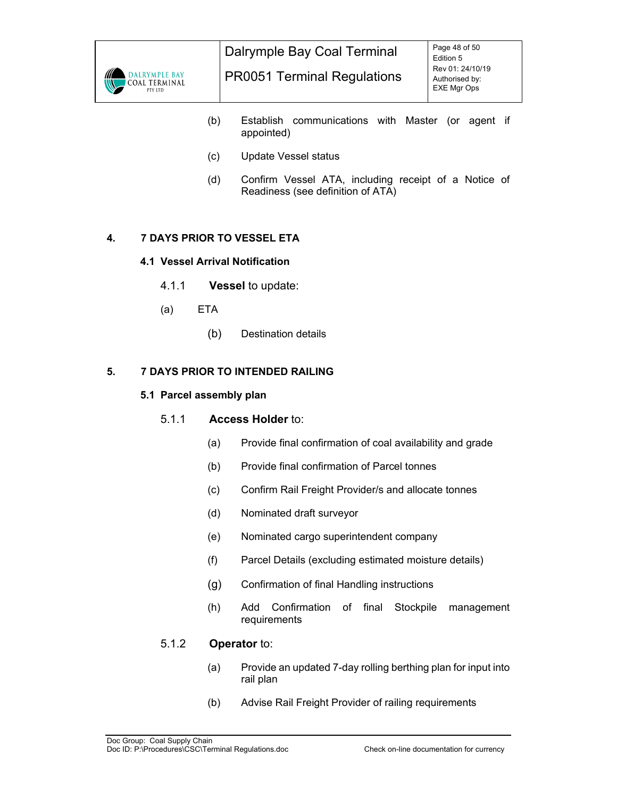

- (b) Establish communications with Master (or agent if appointed)
- (c) Update Vessel status
- (d) Confirm Vessel ATA, including receipt of a Notice of Readiness (see definition of ATA)

# **4. 7 DAYS PRIOR TO VESSEL ETA**

# **4.1 Vessel Arrival Notification**

- 4.1.1 **Vessel** to update:
- (a) ETA
	- (b) Destination details

# **5. 7 DAYS PRIOR TO INTENDED RAILING**

# **5.1 Parcel assembly plan**

# 5.1.1 **Access Holder** to:

- (a) Provide final confirmation of coal availability and grade
- (b) Provide final confirmation of Parcel tonnes
- (c) Confirm Rail Freight Provider/s and allocate tonnes
- (d) Nominated draft surveyor
- (e) Nominated cargo superintendent company
- (f) Parcel Details (excluding estimated moisture details)
- (g) Confirmation of final Handling instructions
- (h) Add Confirmation of final Stockpile management requirements

# 5.1.2 **Operator** to:

- (a) Provide an updated 7-day rolling berthing plan for input into rail plan
- (b) Advise Rail Freight Provider of railing requirements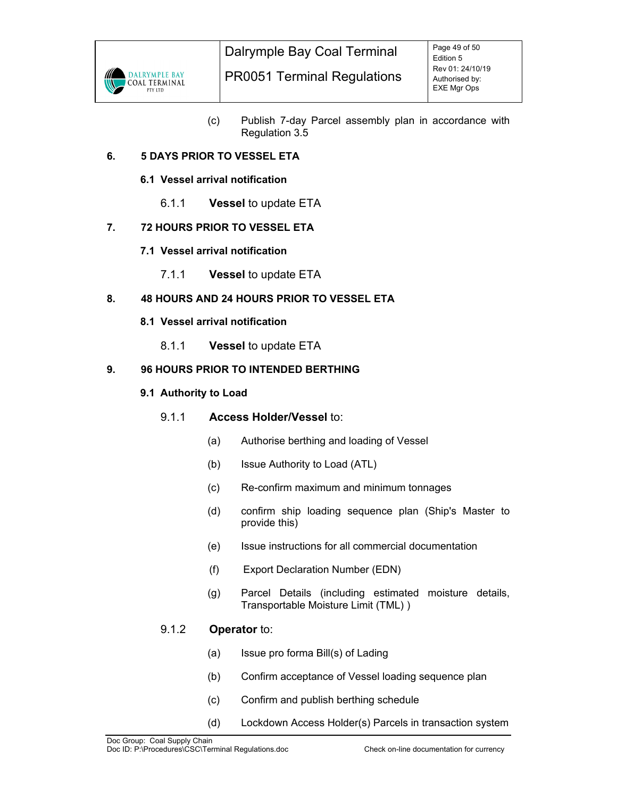

(c) Publish 7-day Parcel assembly plan in accordance with Regulation 3.5

# **6. 5 DAYS PRIOR TO VESSEL ETA**

# **6.1 Vessel arrival notification**

6.1.1 **Vessel** to update ETA

# **7. 72 HOURS PRIOR TO VESSEL ETA**

- **7.1 Vessel arrival notification** 
	- 7.1.1 **Vessel** to update ETA

# **8. 48 HOURS AND 24 HOURS PRIOR TO VESSEL ETA**

- **8.1 Vessel arrival notification** 
	- 8.1.1 **Vessel** to update ETA

# **9. 96 HOURS PRIOR TO INTENDED BERTHING**

# **9.1 Authority to Load**

# 9.1.1 **Access Holder/Vessel** to:

- (a) Authorise berthing and loading of Vessel
- (b) Issue Authority to Load (ATL)
- (c) Re-confirm maximum and minimum tonnages
- (d) confirm ship loading sequence plan (Ship's Master to provide this)
- (e) Issue instructions for all commercial documentation
- (f) Export Declaration Number (EDN)
- (g) Parcel Details (including estimated moisture details, Transportable Moisture Limit (TML) )

# 9.1.2 **Operator** to:

- (a) Issue pro forma Bill(s) of Lading
- (b) Confirm acceptance of Vessel loading sequence plan
- (c) Confirm and publish berthing schedule
- (d) Lockdown Access Holder(s) Parcels in transaction system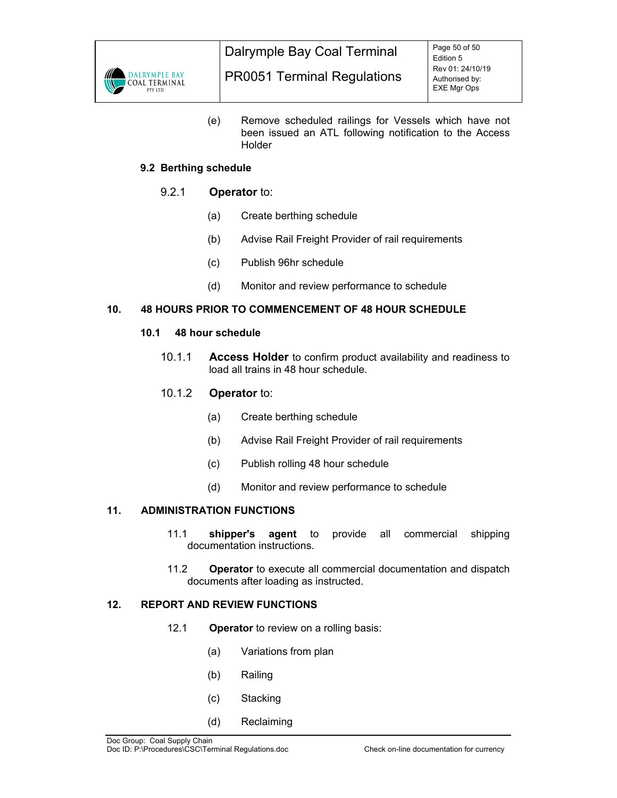

(e) Remove scheduled railings for Vessels which have not been issued an ATL following notification to the Access Holder

# **9.2 Berthing schedule**

# 9.2.1 **Operator** to:

- (a) Create berthing schedule
- (b) Advise Rail Freight Provider of rail requirements
- (c) Publish 96hr schedule
- (d) Monitor and review performance to schedule

# **10. 48 HOURS PRIOR TO COMMENCEMENT OF 48 HOUR SCHEDULE**

# **10.1 48 hour schedule**

10.1.1 **Access Holder** to confirm product availability and readiness to load all trains in 48 hour schedule.

# 10.1.2 **Operator** to:

- (a) Create berthing schedule
- (b) Advise Rail Freight Provider of rail requirements
- (c) Publish rolling 48 hour schedule
- (d) Monitor and review performance to schedule

# **11. ADMINISTRATION FUNCTIONS**

- 11.1 **shipper's agent** to provide all commercial shipping documentation instructions.
- 11.2 **Operator** to execute all commercial documentation and dispatch documents after loading as instructed.

# **12. REPORT AND REVIEW FUNCTIONS**

- 12.1 **Operator** to review on a rolling basis:
	- (a) Variations from plan
	- (b) Railing
	- (c) Stacking
	- (d) Reclaiming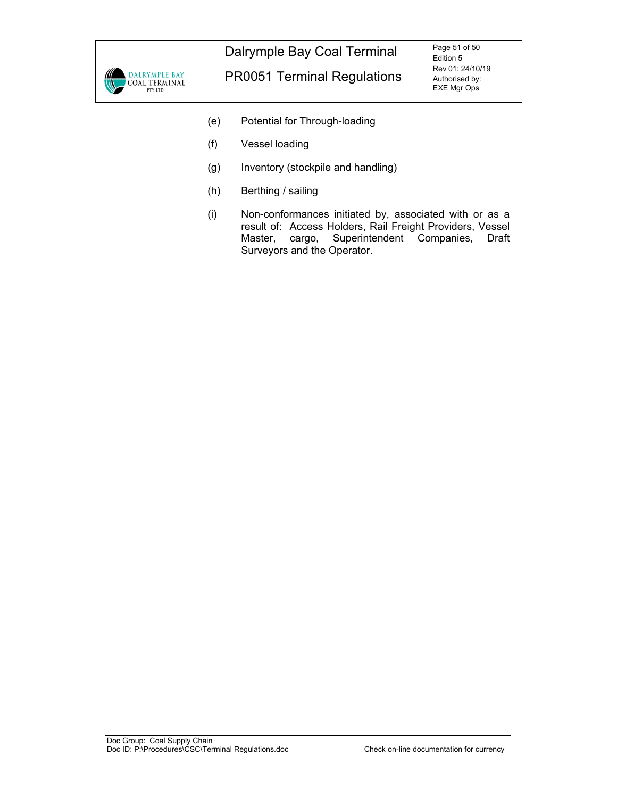

- (e) Potential for Through-loading
- (f) Vessel loading
- (g) Inventory (stockpile and handling)
- (h) Berthing / sailing
- (i) Non-conformances initiated by, associated with or as a result of: Access Holders, Rail Freight Providers, Vessel Master, cargo, Superintendent Companies, Draft Surveyors and the Operator.